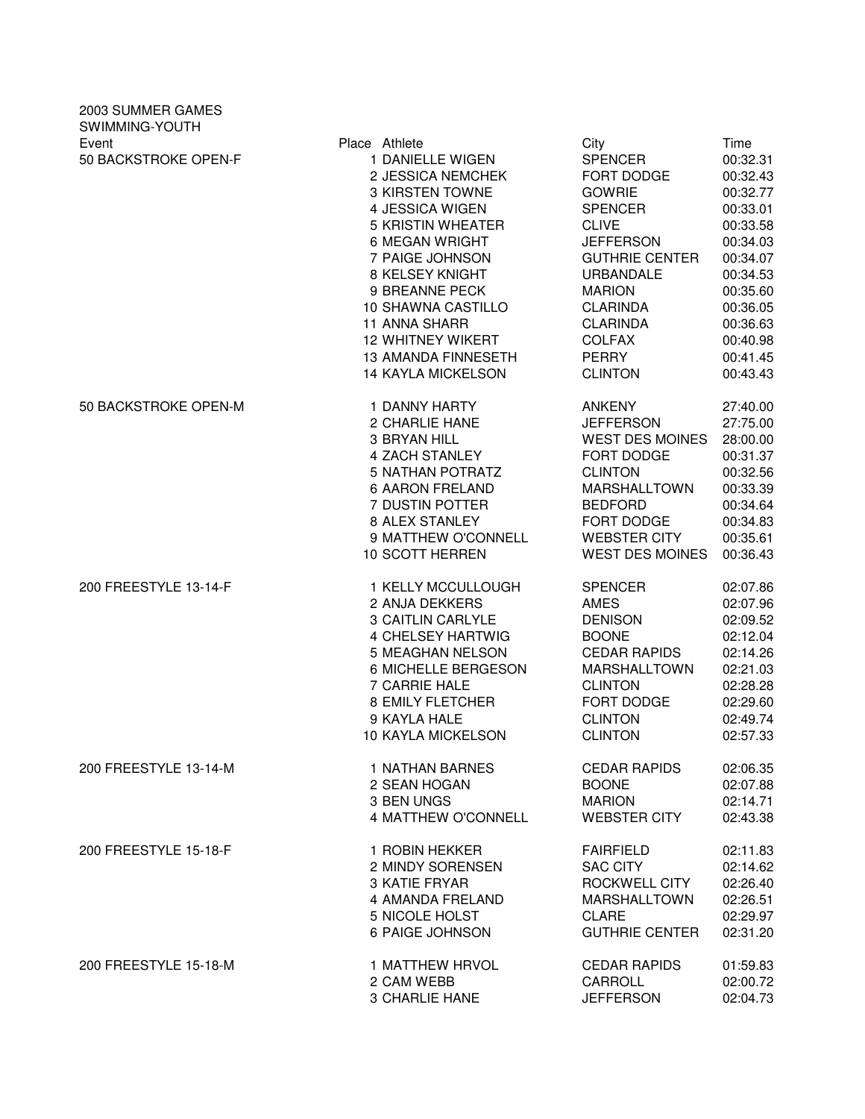| 2003 SUMMER GAMES<br>SWIMMING-YOUTH |                                                                                                                                                                                                                                                                                                                                         |                                                                                                                                                                                                                                                                    |                                                                                                                                                                              |
|-------------------------------------|-----------------------------------------------------------------------------------------------------------------------------------------------------------------------------------------------------------------------------------------------------------------------------------------------------------------------------------------|--------------------------------------------------------------------------------------------------------------------------------------------------------------------------------------------------------------------------------------------------------------------|------------------------------------------------------------------------------------------------------------------------------------------------------------------------------|
| Event<br>50 BACKSTROKE OPEN-F       | Place Athlete<br>1 DANIELLE WIGEN<br>2 JESSICA NEMCHEK<br><b>3 KIRSTEN TOWNE</b><br>4 JESSICA WIGEN<br>5 KRISTIN WHEATER<br><b>6 MEGAN WRIGHT</b><br>7 PAIGE JOHNSON<br>8 KELSEY KNIGHT<br>9 BREANNE PECK<br>10 SHAWNA CASTILLO<br>11 ANNA SHARR<br><b>12 WHITNEY WIKERT</b><br><b>13 AMANDA FINNESETH</b><br><b>14 KAYLA MICKELSON</b> | City<br><b>SPENCER</b><br>FORT DODGE<br><b>GOWRIE</b><br><b>SPENCER</b><br><b>CLIVE</b><br><b>JEFFERSON</b><br><b>GUTHRIE CENTER</b><br><b>URBANDALE</b><br><b>MARION</b><br><b>CLARINDA</b><br><b>CLARINDA</b><br><b>COLFAX</b><br><b>PERRY</b><br><b>CLINTON</b> | Time<br>00:32.31<br>00:32.43<br>00:32.77<br>00:33.01<br>00:33.58<br>00:34.03<br>00:34.07<br>00:34.53<br>00:35.60<br>00:36.05<br>00:36.63<br>00:40.98<br>00:41.45<br>00:43.43 |
| 50 BACKSTROKE OPEN-M                | 1 DANNY HARTY                                                                                                                                                                                                                                                                                                                           | <b>ANKENY</b>                                                                                                                                                                                                                                                      | 27:40.00                                                                                                                                                                     |
|                                     | 2 CHARLIE HANE                                                                                                                                                                                                                                                                                                                          | <b>JEFFERSON</b>                                                                                                                                                                                                                                                   | 27:75.00                                                                                                                                                                     |
|                                     | 3 BRYAN HILL                                                                                                                                                                                                                                                                                                                            | <b>WEST DES MOINES</b>                                                                                                                                                                                                                                             | 28:00.00                                                                                                                                                                     |
|                                     | <b>4 ZACH STANLEY</b>                                                                                                                                                                                                                                                                                                                   | FORT DODGE                                                                                                                                                                                                                                                         | 00:31.37                                                                                                                                                                     |
|                                     | <b>5 NATHAN POTRATZ</b>                                                                                                                                                                                                                                                                                                                 | <b>CLINTON</b>                                                                                                                                                                                                                                                     | 00:32.56                                                                                                                                                                     |
|                                     | <b>6 AARON FRELAND</b>                                                                                                                                                                                                                                                                                                                  | <b>MARSHALLTOWN</b>                                                                                                                                                                                                                                                | 00:33.39                                                                                                                                                                     |
|                                     | 7 DUSTIN POTTER                                                                                                                                                                                                                                                                                                                         | <b>BEDFORD</b>                                                                                                                                                                                                                                                     | 00:34.64                                                                                                                                                                     |
|                                     | 8 ALEX STANLEY                                                                                                                                                                                                                                                                                                                          | FORT DODGE                                                                                                                                                                                                                                                         | 00:34.83                                                                                                                                                                     |
|                                     | 9 MATTHEW O'CONNELL                                                                                                                                                                                                                                                                                                                     | <b>WEBSTER CITY</b>                                                                                                                                                                                                                                                | 00:35.61                                                                                                                                                                     |
|                                     | 10 SCOTT HERREN                                                                                                                                                                                                                                                                                                                         | <b>WEST DES MOINES</b>                                                                                                                                                                                                                                             | 00:36.43                                                                                                                                                                     |
| 200 FREESTYLE 13-14-F               | 1 KELLY MCCULLOUGH                                                                                                                                                                                                                                                                                                                      | <b>SPENCER</b>                                                                                                                                                                                                                                                     | 02:07.86                                                                                                                                                                     |
|                                     | 2 ANJA DEKKERS                                                                                                                                                                                                                                                                                                                          | <b>AMES</b>                                                                                                                                                                                                                                                        | 02:07.96                                                                                                                                                                     |
|                                     | 3 CAITLIN CARLYLE                                                                                                                                                                                                                                                                                                                       | <b>DENISON</b>                                                                                                                                                                                                                                                     | 02:09.52                                                                                                                                                                     |
|                                     | 4 CHELSEY HARTWIG                                                                                                                                                                                                                                                                                                                       | <b>BOONE</b>                                                                                                                                                                                                                                                       | 02:12.04                                                                                                                                                                     |
|                                     | 5 MEAGHAN NELSON                                                                                                                                                                                                                                                                                                                        | <b>CEDAR RAPIDS</b>                                                                                                                                                                                                                                                | 02:14.26                                                                                                                                                                     |
|                                     | 6 MICHELLE BERGESON                                                                                                                                                                                                                                                                                                                     | <b>MARSHALLTOWN</b>                                                                                                                                                                                                                                                | 02:21.03                                                                                                                                                                     |
|                                     | 7 CARRIE HALE                                                                                                                                                                                                                                                                                                                           | <b>CLINTON</b>                                                                                                                                                                                                                                                     | 02:28.28                                                                                                                                                                     |
|                                     | <b>8 EMILY FLETCHER</b>                                                                                                                                                                                                                                                                                                                 | FORT DODGE                                                                                                                                                                                                                                                         | 02:29.60                                                                                                                                                                     |
|                                     | 9 KAYLA HALE                                                                                                                                                                                                                                                                                                                            | <b>CLINTON</b>                                                                                                                                                                                                                                                     | 02:49.74                                                                                                                                                                     |
|                                     | 10 KAYLA MICKELSON                                                                                                                                                                                                                                                                                                                      | <b>CLINTON</b>                                                                                                                                                                                                                                                     | 02:57.33                                                                                                                                                                     |
| 200 FREESTYLE 13-14-M               | 1 NATHAN BARNES                                                                                                                                                                                                                                                                                                                         | <b>CEDAR RAPIDS</b>                                                                                                                                                                                                                                                | 02:06.35                                                                                                                                                                     |
|                                     | 2 SEAN HOGAN                                                                                                                                                                                                                                                                                                                            | <b>BOONE</b>                                                                                                                                                                                                                                                       | 02:07.88                                                                                                                                                                     |
|                                     | 3 BEN UNGS                                                                                                                                                                                                                                                                                                                              | <b>MARION</b>                                                                                                                                                                                                                                                      | 02:14.71                                                                                                                                                                     |
|                                     | 4 MATTHEW O'CONNELL                                                                                                                                                                                                                                                                                                                     | <b>WEBSTER CITY</b>                                                                                                                                                                                                                                                | 02:43.38                                                                                                                                                                     |
| 200 FREESTYLE 15-18-F               | 1 ROBIN HEKKER                                                                                                                                                                                                                                                                                                                          | <b>FAIRFIELD</b>                                                                                                                                                                                                                                                   | 02:11.83                                                                                                                                                                     |
|                                     | 2 MINDY SORENSEN                                                                                                                                                                                                                                                                                                                        | <b>SAC CITY</b>                                                                                                                                                                                                                                                    | 02:14.62                                                                                                                                                                     |
|                                     | 3 KATIE FRYAR                                                                                                                                                                                                                                                                                                                           | ROCKWELL CITY                                                                                                                                                                                                                                                      | 02:26.40                                                                                                                                                                     |
|                                     | 4 AMANDA FRELAND                                                                                                                                                                                                                                                                                                                        | <b>MARSHALLTOWN</b>                                                                                                                                                                                                                                                | 02:26.51                                                                                                                                                                     |
|                                     | 5 NICOLE HOLST                                                                                                                                                                                                                                                                                                                          | <b>CLARE</b>                                                                                                                                                                                                                                                       | 02:29.97                                                                                                                                                                     |
|                                     | 6 PAIGE JOHNSON                                                                                                                                                                                                                                                                                                                         | <b>GUTHRIE CENTER</b>                                                                                                                                                                                                                                              | 02:31.20                                                                                                                                                                     |
| 200 FREESTYLE 15-18-M               | 1 MATTHEW HRVOL                                                                                                                                                                                                                                                                                                                         | <b>CEDAR RAPIDS</b>                                                                                                                                                                                                                                                | 01:59.83                                                                                                                                                                     |
|                                     | 2 CAM WEBB                                                                                                                                                                                                                                                                                                                              | CARROLL                                                                                                                                                                                                                                                            | 02:00.72                                                                                                                                                                     |
|                                     | 3 CHARLIE HANE                                                                                                                                                                                                                                                                                                                          | <b>JEFFERSON</b>                                                                                                                                                                                                                                                   | 02:04.73                                                                                                                                                                     |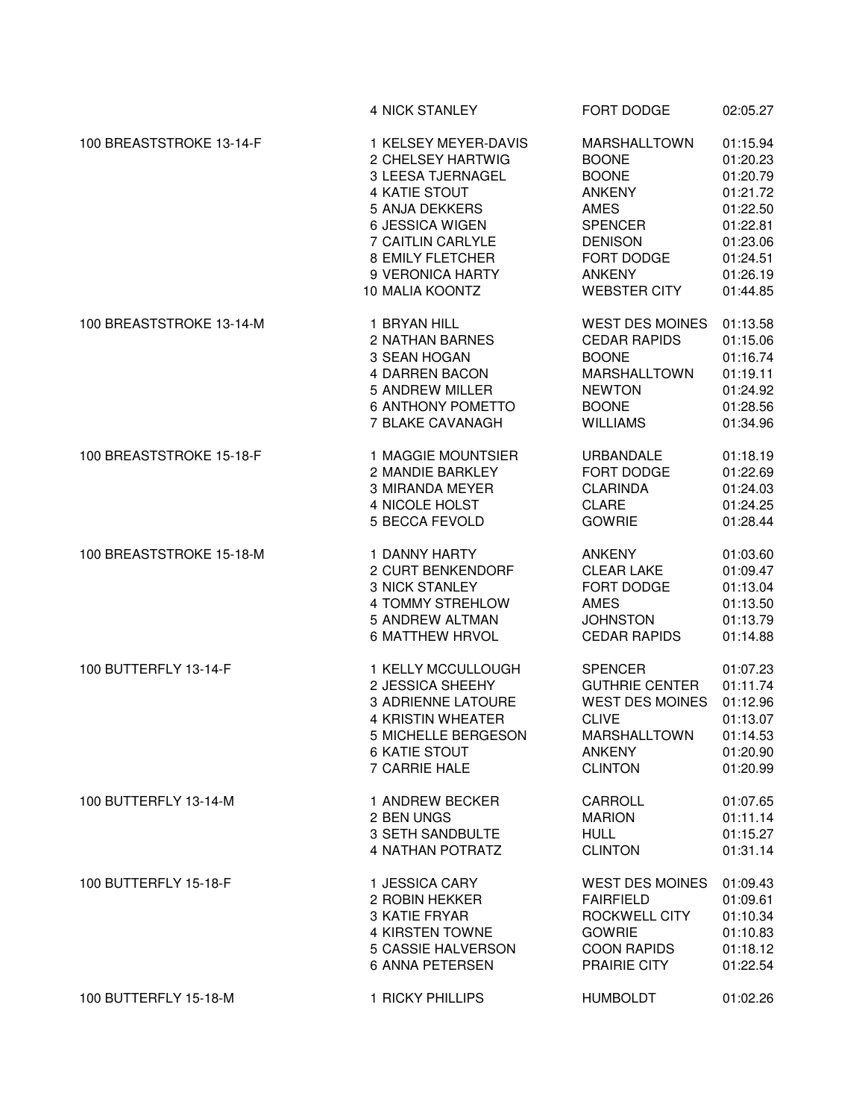|                          | 4 NICK STANLEY            | FORT DODGE             | 02:05.27 |
|--------------------------|---------------------------|------------------------|----------|
| 100 BREASTSTROKE 13-14-F | 1 KELSEY MEYER-DAVIS      | <b>MARSHALLTOWN</b>    | 01:15.94 |
|                          | 2 CHELSEY HARTWIG         | <b>BOONE</b>           | 01:20.23 |
|                          | 3 LEESA TJERNAGEL         | <b>BOONE</b>           | 01:20.79 |
|                          | 4 KATIE STOUT             | <b>ANKENY</b>          | 01:21.72 |
|                          | 5 ANJA DEKKERS            | <b>AMES</b>            | 01:22.50 |
|                          | 6 JESSICA WIGEN           | <b>SPENCER</b>         | 01:22.81 |
|                          | 7 CAITLIN CARLYLE         | <b>DENISON</b>         | 01:23.06 |
|                          | <b>8 EMILY FLETCHER</b>   | FORT DODGE             | 01:24.51 |
|                          | 9 VERONICA HARTY          | <b>ANKENY</b>          | 01:26.19 |
|                          | 10 MALIA KOONTZ           | <b>WEBSTER CITY</b>    | 01:44.85 |
| 100 BREASTSTROKE 13-14-M | 1 BRYAN HILL              | <b>WEST DES MOINES</b> | 01:13.58 |
|                          | 2 NATHAN BARNES           | <b>CEDAR RAPIDS</b>    | 01:15.06 |
|                          | 3 SEAN HOGAN              | <b>BOONE</b>           | 01:16.74 |
|                          | <b>4 DARREN BACON</b>     | <b>MARSHALLTOWN</b>    | 01:19.11 |
|                          | 5 ANDREW MILLER           | <b>NEWTON</b>          | 01:24.92 |
|                          | <b>6 ANTHONY POMETTO</b>  | <b>BOONE</b>           | 01:28.56 |
|                          | 7 BLAKE CAVANAGH          | <b>WILLIAMS</b>        | 01:34.96 |
| 100 BREASTSTROKE 15-18-F | 1 MAGGIE MOUNTSIER        | URBANDALE              | 01:18.19 |
|                          | 2 MANDIE BARKLEY          | FORT DODGE             | 01:22.69 |
|                          | 3 MIRANDA MEYER           | <b>CLARINDA</b>        | 01:24.03 |
|                          | 4 NICOLE HOLST            | <b>CLARE</b>           | 01:24.25 |
|                          | 5 BECCA FEVOLD            | <b>GOWRIE</b>          | 01:28.44 |
| 100 BREASTSTROKE 15-18-M | 1 DANNY HARTY             | <b>ANKENY</b>          | 01:03.60 |
|                          | 2 CURT BENKENDORF         | <b>CLEAR LAKE</b>      | 01:09.47 |
|                          | <b>3 NICK STANLEY</b>     | FORT DODGE             | 01:13.04 |
|                          | 4 TOMMY STREHLOW          | <b>AMES</b>            | 01:13.50 |
|                          | 5 ANDREW ALTMAN           | <b>JOHNSTON</b>        | 01:13.79 |
|                          | <b>6 MATTHEW HRVOL</b>    | <b>CEDAR RAPIDS</b>    | 01:14.88 |
| 100 BUTTERFLY 13-14-F    | 1 KELLY MCCULLOUGH        | <b>SPENCER</b>         | 01:07.23 |
|                          | 2 JESSICA SHEEHY          | <b>GUTHRIE CENTER</b>  | 01:11.74 |
|                          | <b>3 ADRIENNE LATOURE</b> | <b>WEST DES MOINES</b> | 01:12.96 |
|                          | <b>4 KRISTIN WHEATER</b>  | <b>CLIVE</b>           | 01:13.07 |
|                          | 5 MICHELLE BERGESON       | MARSHALLTOWN           | 01:14.53 |
|                          | <b>6 KATIE STOUT</b>      | ANKENY                 | 01:20.90 |
|                          | 7 CARRIE HALE             | <b>CLINTON</b>         | 01:20.99 |
| 100 BUTTERFLY 13-14-M    | 1 ANDREW BECKER           | CARROLL                | 01:07.65 |
|                          | 2 BEN UNGS                | <b>MARION</b>          | 01:11.14 |
|                          | 3 SETH SANDBULTE          | <b>HULL</b>            | 01:15.27 |
|                          | <b>4 NATHAN POTRATZ</b>   | <b>CLINTON</b>         | 01:31.14 |
| 100 BUTTERFLY 15-18-F    | 1 JESSICA CARY            | <b>WEST DES MOINES</b> | 01:09.43 |
|                          | 2 ROBIN HEKKER            | <b>FAIRFIELD</b>       | 01:09.61 |
|                          | 3 KATIE FRYAR             | ROCKWELL CITY          | 01:10.34 |
|                          | 4 KIRSTEN TOWNE           | <b>GOWRIE</b>          | 01:10.83 |
|                          | 5 CASSIE HALVERSON        | <b>COON RAPIDS</b>     | 01:18.12 |
|                          | 6 ANNA PETERSEN           | PRAIRIE CITY           | 01:22.54 |
| 100 BUTTERFLY 15-18-M    | 1 RICKY PHILLIPS          | <b>HUMBOLDT</b>        | 01:02.26 |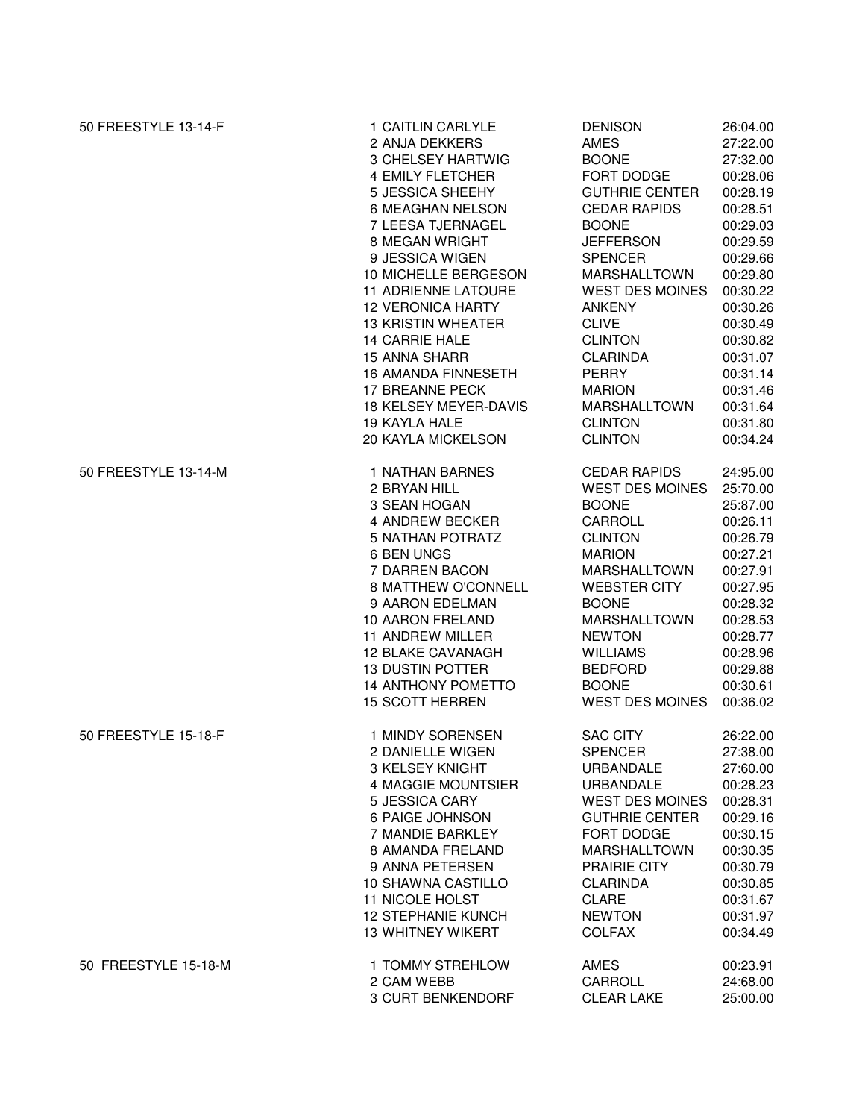| 50 FREESTYLE 13-14-F | 1 CAITLIN CARLYLE          | <b>DENISON</b>         | 26:04.00 |
|----------------------|----------------------------|------------------------|----------|
|                      | 2 ANJA DEKKERS             | AMES                   | 27:22.00 |
|                      | 3 CHELSEY HARTWIG          | <b>BOONE</b>           | 27:32.00 |
|                      | 4 EMILY FLETCHER           | FORT DODGE             | 00:28.06 |
|                      | 5 JESSICA SHEEHY           | <b>GUTHRIE CENTER</b>  | 00:28.19 |
|                      | 6 MEAGHAN NELSON           | <b>CEDAR RAPIDS</b>    | 00:28.51 |
|                      | 7 LEESA TJERNAGEL          | <b>BOONE</b>           | 00:29.03 |
|                      | 8 MEGAN WRIGHT             | <b>JEFFERSON</b>       | 00:29.59 |
|                      | 9 JESSICA WIGEN            | <b>SPENCER</b>         | 00:29.66 |
|                      | 10 MICHELLE BERGESON       | MARSHALLTOWN           | 00:29.80 |
|                      | <b>11 ADRIENNE LATOURE</b> | <b>WEST DES MOINES</b> | 00:30.22 |
|                      | <b>12 VERONICA HARTY</b>   | <b>ANKENY</b>          | 00:30.26 |
|                      | <b>13 KRISTIN WHEATER</b>  | <b>CLIVE</b>           | 00:30.49 |
|                      | <b>14 CARRIE HALE</b>      | <b>CLINTON</b>         | 00:30.82 |
|                      | <b>15 ANNA SHARR</b>       | <b>CLARINDA</b>        | 00:31.07 |
|                      | <b>16 AMANDA FINNESETH</b> | <b>PERRY</b>           | 00:31.14 |
|                      | 17 BREANNE PECK            | <b>MARION</b>          | 00:31.46 |
|                      | 18 KELSEY MEYER-DAVIS      | <b>MARSHALLTOWN</b>    | 00:31.64 |
|                      | 19 KAYLA HALE              | <b>CLINTON</b>         | 00:31.80 |
|                      | 20 KAYLA MICKELSON         | <b>CLINTON</b>         | 00:34.24 |
| 50 FREESTYLE 13-14-M | 1 NATHAN BARNES            | <b>CEDAR RAPIDS</b>    | 24:95.00 |
|                      | 2 BRYAN HILL               | WEST DES MOINES        | 25:70.00 |
|                      | 3 SEAN HOGAN               | <b>BOONE</b>           | 25:87.00 |
|                      | 4 ANDREW BECKER            | CARROLL                | 00:26.11 |
|                      | <b>5 NATHAN POTRATZ</b>    | <b>CLINTON</b>         | 00:26.79 |
|                      | 6 BEN UNGS                 | <b>MARION</b>          | 00:27.21 |
|                      | 7 DARREN BACON             | <b>MARSHALLTOWN</b>    | 00:27.91 |
|                      | 8 MATTHEW O'CONNELL        | <b>WEBSTER CITY</b>    | 00:27.95 |
|                      | 9 AARON EDELMAN            | <b>BOONE</b>           | 00:28.32 |
|                      | 10 AARON FRELAND           | <b>MARSHALLTOWN</b>    | 00:28.53 |
|                      | 11 ANDREW MILLER           | <b>NEWTON</b>          | 00:28.77 |
|                      | <b>12 BLAKE CAVANAGH</b>   | <b>WILLIAMS</b>        | 00:28.96 |
|                      | <b>13 DUSTIN POTTER</b>    | <b>BEDFORD</b>         | 00:29.88 |
|                      | <b>14 ANTHONY POMETTO</b>  | <b>BOONE</b>           | 00:30.61 |
|                      | <b>15 SCOTT HERREN</b>     | <b>WEST DES MOINES</b> | 00:36.02 |
| 50 FREESTYLE 15-18-F | 1 MINDY SORENSEN           | <b>SAC CITY</b>        | 26:22.00 |
|                      | 2 DANIELLE WIGEN           | <b>SPENCER</b>         | 27:38.00 |
|                      | 3 KELSEY KNIGHT            | <b>URBANDALE</b>       | 27:60.00 |
|                      | 4 MAGGIE MOUNTSIER         | URBANDALE              | 00:28.23 |
|                      | 5 JESSICA CARY             | <b>WEST DES MOINES</b> | 00:28.31 |
|                      | 6 PAIGE JOHNSON            | <b>GUTHRIE CENTER</b>  | 00:29.16 |
|                      | 7 MANDIE BARKLEY           | FORT DODGE             | 00:30.15 |
|                      | 8 AMANDA FRELAND           | <b>MARSHALLTOWN</b>    | 00:30.35 |
|                      | 9 ANNA PETERSEN            | PRAIRIE CITY           | 00:30.79 |
|                      | 10 SHAWNA CASTILLO         | <b>CLARINDA</b>        | 00:30.85 |
|                      | 11 NICOLE HOLST            | <b>CLARE</b>           | 00:31.67 |
|                      | <b>12 STEPHANIE KUNCH</b>  | <b>NEWTON</b>          | 00:31.97 |
|                      | <b>13 WHITNEY WIKERT</b>   | <b>COLFAX</b>          | 00:34.49 |
| 50 FREESTYLE 15-18-M | 1 TOMMY STREHLOW           | AMES                   | 00:23.91 |
|                      | 2 CAM WEBB                 | CARROLL                | 24:68.00 |
|                      | 3 CURT BENKENDORF          | <b>CLEAR LAKE</b>      | 25:00.00 |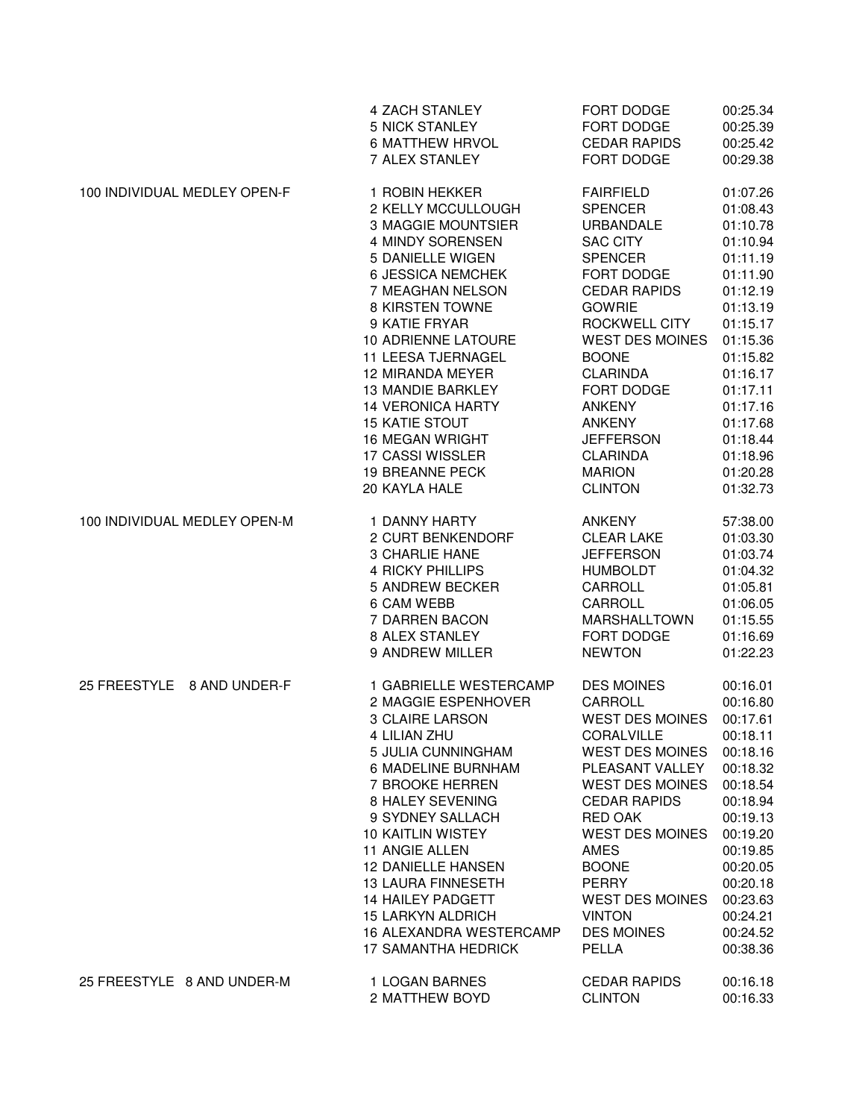|                              | 4 ZACH STANLEY                 | FORT DODGE             | 00:25.34 |
|------------------------------|--------------------------------|------------------------|----------|
|                              | <b>5 NICK STANLEY</b>          | FORT DODGE             | 00:25.39 |
|                              | <b>6 MATTHEW HRVOL</b>         | <b>CEDAR RAPIDS</b>    | 00:25.42 |
|                              | 7 ALEX STANLEY                 | FORT DODGE             | 00:29.38 |
| 100 INDIVIDUAL MEDLEY OPEN-F | 1 ROBIN HEKKER                 | <b>FAIRFIELD</b>       | 01:07.26 |
|                              | 2 KELLY MCCULLOUGH             | <b>SPENCER</b>         | 01:08.43 |
|                              | 3 MAGGIE MOUNTSIER             | <b>URBANDALE</b>       | 01:10.78 |
|                              | 4 MINDY SORENSEN               | <b>SAC CITY</b>        | 01:10.94 |
|                              | 5 DANIELLE WIGEN               | <b>SPENCER</b>         | 01:11.19 |
|                              | <b>6 JESSICA NEMCHEK</b>       | FORT DODGE             | 01:11.90 |
|                              | 7 MEAGHAN NELSON               | <b>CEDAR RAPIDS</b>    | 01:12.19 |
|                              | 8 KIRSTEN TOWNE                | <b>GOWRIE</b>          | 01:13.19 |
|                              | 9 KATIE FRYAR                  | ROCKWELL CITY          | 01:15.17 |
|                              | 10 ADRIENNE LATOURE            | <b>WEST DES MOINES</b> | 01:15.36 |
|                              | 11 LEESA TJERNAGEL             | <b>BOONE</b>           | 01:15.82 |
|                              | 12 MIRANDA MEYER               | <b>CLARINDA</b>        | 01:16.17 |
|                              | <b>13 MANDIE BARKLEY</b>       | FORT DODGE             | 01:17.11 |
|                              | <b>14 VERONICA HARTY</b>       | <b>ANKENY</b>          | 01:17.16 |
|                              | <b>15 KATIE STOUT</b>          | <b>ANKENY</b>          | 01:17.68 |
|                              | <b>16 MEGAN WRIGHT</b>         | <b>JEFFERSON</b>       | 01:18.44 |
|                              | 17 CASSI WISSLER               | <b>CLARINDA</b>        | 01:18.96 |
|                              | <b>19 BREANNE PECK</b>         | <b>MARION</b>          | 01:20.28 |
|                              | 20 KAYLA HALE                  | <b>CLINTON</b>         | 01:32.73 |
| 100 INDIVIDUAL MEDLEY OPEN-M | 1 DANNY HARTY                  | <b>ANKENY</b>          | 57:38.00 |
|                              | 2 CURT BENKENDORF              | <b>CLEAR LAKE</b>      | 01:03.30 |
|                              | <b>3 CHARLIE HANE</b>          | <b>JEFFERSON</b>       | 01:03.74 |
|                              | <b>4 RICKY PHILLIPS</b>        | <b>HUMBOLDT</b>        | 01:04.32 |
|                              | 5 ANDREW BECKER                | CARROLL                | 01:05.81 |
|                              | 6 CAM WEBB                     | CARROLL                | 01:06.05 |
|                              | 7 DARREN BACON                 | <b>MARSHALLTOWN</b>    | 01:15.55 |
|                              | 8 ALEX STANLEY                 | FORT DODGE             | 01:16.69 |
|                              | 9 ANDREW MILLER                | <b>NEWTON</b>          | 01:22.23 |
| 25 FREESTYLE 8 AND UNDER-F   | 1 GABRIELLE WESTERCAMP         | <b>DES MOINES</b>      | 00:16.01 |
|                              | 2 MAGGIE ESPENHOVER            | CARROLL                | 00:16.80 |
|                              | <b>3 CLAIRE LARSON</b>         | <b>WEST DES MOINES</b> | 00:17.61 |
|                              | 4 LILIAN ZHU                   | CORALVILLE             | 00:18.11 |
|                              | 5 JULIA CUNNINGHAM             | <b>WEST DES MOINES</b> | 00:18.16 |
|                              | 6 MADELINE BURNHAM             | PLEASANT VALLEY        | 00:18.32 |
|                              | 7 BROOKE HERREN                | <b>WEST DES MOINES</b> | 00:18.54 |
|                              | 8 HALEY SEVENING               | <b>CEDAR RAPIDS</b>    | 00:18.94 |
|                              | 9 SYDNEY SALLACH               | <b>RED OAK</b>         | 00:19.13 |
|                              | 10 KAITLIN WISTEY              | <b>WEST DES MOINES</b> | 00:19.20 |
|                              | 11 ANGIE ALLEN                 | <b>AMES</b>            | 00:19.85 |
|                              | <b>12 DANIELLE HANSEN</b>      | <b>BOONE</b>           | 00:20.05 |
|                              | 13 LAURA FINNESETH             | <b>PERRY</b>           | 00:20.18 |
|                              | 14 HAILEY PADGETT              | <b>WEST DES MOINES</b> | 00:23.63 |
|                              | <b>15 LARKYN ALDRICH</b>       | <b>VINTON</b>          | 00:24.21 |
|                              | <b>16 ALEXANDRA WESTERCAMP</b> | <b>DES MOINES</b>      | 00:24.52 |
|                              | <b>17 SAMANTHA HEDRICK</b>     | PELLA                  | 00:38.36 |
| 25 FREESTYLE 8 AND UNDER-M   | 1 LOGAN BARNES                 | <b>CEDAR RAPIDS</b>    | 00:16.18 |
|                              | 2 MATTHEW BOYD                 | <b>CLINTON</b>         | 00:16.33 |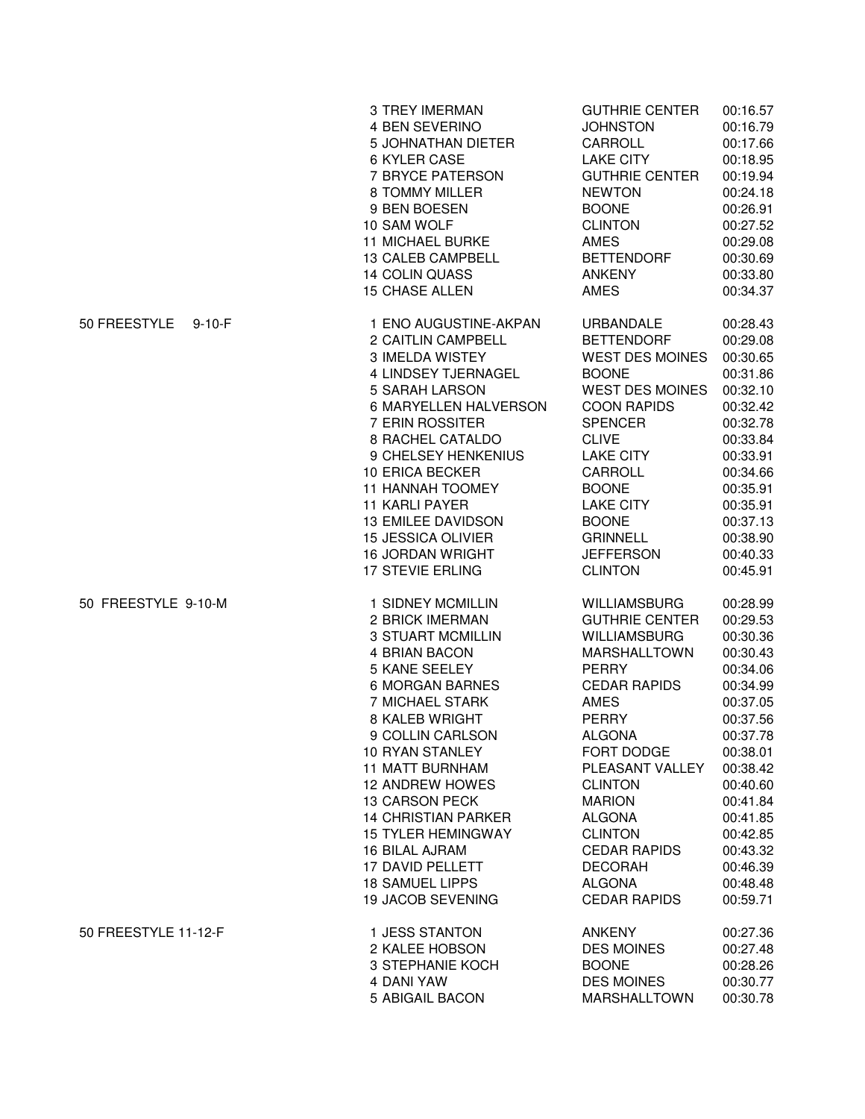|                          | 3 TREY IMERMAN                                                                                                                                                                                                                                                                                                                                                          | <b>GUTHRIE CENTER</b>                                                                                                                                                                                                                                                                                  | 00:16.57                                                                                                                                                                                     |
|--------------------------|-------------------------------------------------------------------------------------------------------------------------------------------------------------------------------------------------------------------------------------------------------------------------------------------------------------------------------------------------------------------------|--------------------------------------------------------------------------------------------------------------------------------------------------------------------------------------------------------------------------------------------------------------------------------------------------------|----------------------------------------------------------------------------------------------------------------------------------------------------------------------------------------------|
|                          | 4 BEN SEVERINO                                                                                                                                                                                                                                                                                                                                                          | <b>JOHNSTON</b>                                                                                                                                                                                                                                                                                        | 00:16.79                                                                                                                                                                                     |
|                          | 5 JOHNATHAN DIETER                                                                                                                                                                                                                                                                                                                                                      | CARROLL                                                                                                                                                                                                                                                                                                | 00:17.66                                                                                                                                                                                     |
|                          | 6 KYLER CASE                                                                                                                                                                                                                                                                                                                                                            | <b>LAKE CITY</b>                                                                                                                                                                                                                                                                                       | 00:18.95                                                                                                                                                                                     |
|                          | 7 BRYCE PATERSON                                                                                                                                                                                                                                                                                                                                                        | <b>GUTHRIE CENTER</b>                                                                                                                                                                                                                                                                                  | 00:19.94                                                                                                                                                                                     |
|                          | 8 TOMMY MILLER                                                                                                                                                                                                                                                                                                                                                          | <b>NEWTON</b>                                                                                                                                                                                                                                                                                          | 00:24.18                                                                                                                                                                                     |
|                          | 9 BEN BOESEN                                                                                                                                                                                                                                                                                                                                                            | <b>BOONE</b>                                                                                                                                                                                                                                                                                           | 00:26.91                                                                                                                                                                                     |
|                          | 10 SAM WOLF                                                                                                                                                                                                                                                                                                                                                             | <b>CLINTON</b>                                                                                                                                                                                                                                                                                         | 00:27.52                                                                                                                                                                                     |
|                          | <b>11 MICHAEL BURKE</b>                                                                                                                                                                                                                                                                                                                                                 | <b>AMES</b>                                                                                                                                                                                                                                                                                            | 00:29.08                                                                                                                                                                                     |
|                          | 13 CALEB CAMPBELL                                                                                                                                                                                                                                                                                                                                                       | <b>BETTENDORF</b>                                                                                                                                                                                                                                                                                      | 00:30.69                                                                                                                                                                                     |
|                          | 14 COLIN QUASS                                                                                                                                                                                                                                                                                                                                                          | <b>ANKENY</b>                                                                                                                                                                                                                                                                                          | 00:33.80                                                                                                                                                                                     |
|                          | <b>15 CHASE ALLEN</b>                                                                                                                                                                                                                                                                                                                                                   | AMES                                                                                                                                                                                                                                                                                                   | 00:34.37                                                                                                                                                                                     |
| 50 FREESTYLE<br>$9-10-F$ | 1 ENO AUGUSTINE-AKPAN<br>2 CAITLIN CAMPBELL<br>3 IMELDA WISTEY<br>4 LINDSEY TJERNAGEL<br>5 SARAH LARSON<br>6 MARYELLEN HALVERSON<br>7 ERIN ROSSITER<br>8 RACHEL CATALDO<br>9 CHELSEY HENKENIUS<br>10 ERICA BECKER<br>11 HANNAH TOOMEY<br><b>11 KARLI PAYER</b><br><b>13 EMILEE DAVIDSON</b><br><b>15 JESSICA OLIVIER</b><br><b>16 JORDAN WRIGHT</b><br>17 STEVIE ERLING | URBANDALE<br><b>BETTENDORF</b><br><b>WEST DES MOINES</b><br><b>BOONE</b><br><b>WEST DES MOINES</b><br><b>COON RAPIDS</b><br><b>SPENCER</b><br><b>CLIVE</b><br><b>LAKE CITY</b><br>CARROLL<br><b>BOONE</b><br><b>LAKE CITY</b><br><b>BOONE</b><br><b>GRINNELL</b><br><b>JEFFERSON</b><br><b>CLINTON</b> | 00:28.43<br>00:29.08<br>00:30.65<br>00:31.86<br>00:32.10<br>00:32.42<br>00:32.78<br>00:33.84<br>00:33.91<br>00:34.66<br>00:35.91<br>00:35.91<br>00:37.13<br>00:38.90<br>00:40.33<br>00:45.91 |
| 50 FREESTYLE 9-10-M      | 1 SIDNEY MCMILLIN                                                                                                                                                                                                                                                                                                                                                       | <b>WILLIAMSBURG</b>                                                                                                                                                                                                                                                                                    | 00:28.99                                                                                                                                                                                     |
|                          | 2 BRICK IMERMAN                                                                                                                                                                                                                                                                                                                                                         | <b>GUTHRIE CENTER</b>                                                                                                                                                                                                                                                                                  | 00:29.53                                                                                                                                                                                     |
|                          | <b>3 STUART MCMILLIN</b>                                                                                                                                                                                                                                                                                                                                                | <b>WILLIAMSBURG</b>                                                                                                                                                                                                                                                                                    | 00:30.36                                                                                                                                                                                     |
|                          | 4 BRIAN BACON                                                                                                                                                                                                                                                                                                                                                           | MARSHALLTOWN                                                                                                                                                                                                                                                                                           | 00:30.43                                                                                                                                                                                     |
|                          | 5 KANE SEELEY                                                                                                                                                                                                                                                                                                                                                           | <b>PERRY</b>                                                                                                                                                                                                                                                                                           | 00:34.06                                                                                                                                                                                     |
|                          | <b>6 MORGAN BARNES</b>                                                                                                                                                                                                                                                                                                                                                  | <b>CEDAR RAPIDS</b>                                                                                                                                                                                                                                                                                    | 00:34.99                                                                                                                                                                                     |
|                          | 7 MICHAEL STARK                                                                                                                                                                                                                                                                                                                                                         | <b>AMES</b>                                                                                                                                                                                                                                                                                            | 00:37.05                                                                                                                                                                                     |
|                          | 8 KALEB WRIGHT                                                                                                                                                                                                                                                                                                                                                          | <b>PERRY</b>                                                                                                                                                                                                                                                                                           | 00:37.56                                                                                                                                                                                     |
|                          | 9 COLLIN CARLSON                                                                                                                                                                                                                                                                                                                                                        | ALGONA                                                                                                                                                                                                                                                                                                 | 00:37.78                                                                                                                                                                                     |
|                          | 10 RYAN STANLEY                                                                                                                                                                                                                                                                                                                                                         | FORT DODGE                                                                                                                                                                                                                                                                                             | 00:38.01                                                                                                                                                                                     |
|                          | <b>11 MATT BURNHAM</b>                                                                                                                                                                                                                                                                                                                                                  | PLEASANT VALLEY                                                                                                                                                                                                                                                                                        | 00:38.42                                                                                                                                                                                     |
|                          | <b>12 ANDREW HOWES</b>                                                                                                                                                                                                                                                                                                                                                  | <b>CLINTON</b>                                                                                                                                                                                                                                                                                         | 00:40.60                                                                                                                                                                                     |
|                          | <b>13 CARSON PECK</b>                                                                                                                                                                                                                                                                                                                                                   | <b>MARION</b>                                                                                                                                                                                                                                                                                          | 00:41.84                                                                                                                                                                                     |
|                          | <b>14 CHRISTIAN PARKER</b>                                                                                                                                                                                                                                                                                                                                              | ALGONA                                                                                                                                                                                                                                                                                                 | 00:41.85                                                                                                                                                                                     |
|                          | <b>15 TYLER HEMINGWAY</b>                                                                                                                                                                                                                                                                                                                                               | <b>CLINTON</b>                                                                                                                                                                                                                                                                                         | 00:42.85                                                                                                                                                                                     |
|                          | 16 BILAL AJRAM                                                                                                                                                                                                                                                                                                                                                          | <b>CEDAR RAPIDS</b>                                                                                                                                                                                                                                                                                    | 00:43.32                                                                                                                                                                                     |
|                          | 17 DAVID PELLETT                                                                                                                                                                                                                                                                                                                                                        | <b>DECORAH</b>                                                                                                                                                                                                                                                                                         | 00:46.39                                                                                                                                                                                     |
|                          | <b>18 SAMUEL LIPPS</b>                                                                                                                                                                                                                                                                                                                                                  | <b>ALGONA</b>                                                                                                                                                                                                                                                                                          | 00:48.48                                                                                                                                                                                     |
|                          | 19 JACOB SEVENING                                                                                                                                                                                                                                                                                                                                                       | <b>CEDAR RAPIDS</b>                                                                                                                                                                                                                                                                                    | 00:59.71                                                                                                                                                                                     |
| 50 FREESTYLE 11-12-F     | 1 JESS STANTON                                                                                                                                                                                                                                                                                                                                                          | <b>ANKENY</b>                                                                                                                                                                                                                                                                                          | 00:27.36                                                                                                                                                                                     |
|                          | 2 KALEE HOBSON                                                                                                                                                                                                                                                                                                                                                          | <b>DES MOINES</b>                                                                                                                                                                                                                                                                                      | 00:27.48                                                                                                                                                                                     |
|                          | 3 STEPHANIE KOCH                                                                                                                                                                                                                                                                                                                                                        | <b>BOONE</b>                                                                                                                                                                                                                                                                                           | 00:28.26                                                                                                                                                                                     |
|                          | 4 DANI YAW                                                                                                                                                                                                                                                                                                                                                              | <b>DES MOINES</b>                                                                                                                                                                                                                                                                                      | 00:30.77                                                                                                                                                                                     |
|                          | 5 ABIGAIL BACON                                                                                                                                                                                                                                                                                                                                                         | <b>MARSHALLTOWN</b>                                                                                                                                                                                                                                                                                    | 00:30.78                                                                                                                                                                                     |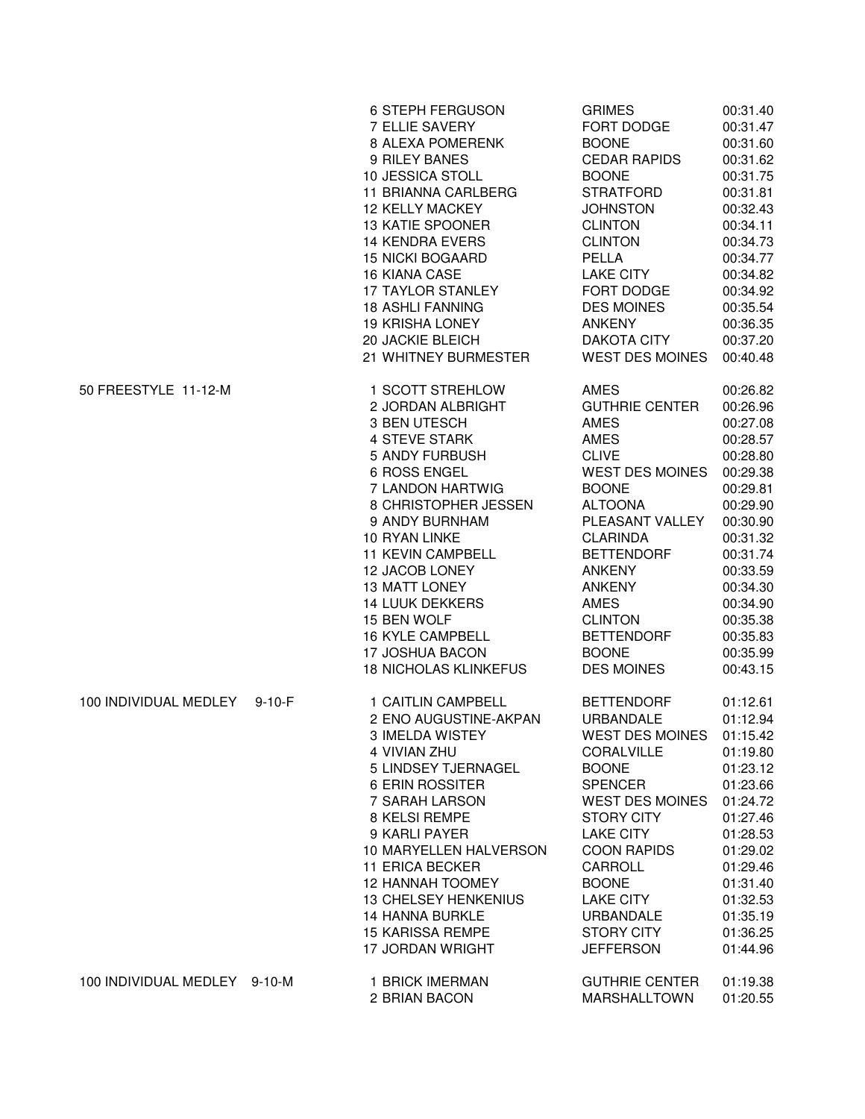|                              |              | 6 STEPH FERGUSON<br>7 ELLIE SAVERY<br>8 ALEXA POMERENK<br>9 RILEY BANES<br>10 JESSICA STOLL<br>11 BRIANNA CARLBERG<br><b>12 KELLY MACKEY</b><br><b>13 KATIE SPOONER</b><br><b>14 KENDRA EVERS</b><br><b>15 NICKI BOGAARD</b><br>16 KIANA CASE<br>17 TAYLOR STANLEY<br><b>18 ASHLI FANNING</b><br><b>19 KRISHA LONEY</b><br>20 JACKIE BLEICH<br>21 WHITNEY BURMESTER                                 | <b>GRIMES</b><br>FORT DODGE<br><b>BOONE</b><br><b>CEDAR RAPIDS</b><br><b>BOONE</b><br><b>STRATFORD</b><br><b>JOHNSTON</b><br><b>CLINTON</b><br><b>CLINTON</b><br>PELLA<br><b>LAKE CITY</b><br>FORT DODGE<br><b>DES MOINES</b><br><b>ANKENY</b><br><b>DAKOTA CITY</b><br><b>WEST DES MOINES</b>                                     | 00:31.40<br>00:31.47<br>00:31.60<br>00:31.62<br>00:31.75<br>00:31.81<br>00:32.43<br>00:34.11<br>00:34.73<br>00:34.77<br>00:34.82<br>00:34.92<br>00:35.54<br>00:36.35<br>00:37.20<br>00:40.48             |
|------------------------------|--------------|-----------------------------------------------------------------------------------------------------------------------------------------------------------------------------------------------------------------------------------------------------------------------------------------------------------------------------------------------------------------------------------------------------|------------------------------------------------------------------------------------------------------------------------------------------------------------------------------------------------------------------------------------------------------------------------------------------------------------------------------------|----------------------------------------------------------------------------------------------------------------------------------------------------------------------------------------------------------|
| 50 FREESTYLE 11-12-M         |              | 1 SCOTT STREHLOW<br>2 JORDAN ALBRIGHT<br>3 BEN UTESCH<br><b>4 STEVE STARK</b><br>5 ANDY FURBUSH<br><b>6 ROSS ENGEL</b><br>7 LANDON HARTWIG<br>8 CHRISTOPHER JESSEN<br>9 ANDY BURNHAM<br>10 RYAN LINKE<br><b>11 KEVIN CAMPBELL</b><br>12 JACOB LONEY<br><b>13 MATT LONEY</b><br><b>14 LUUK DEKKERS</b><br>15 BEN WOLF<br><b>16 KYLE CAMPBELL</b><br>17 JOSHUA BACON                                  | AMES<br><b>GUTHRIE CENTER</b><br>AMES<br>AMES<br><b>CLIVE</b><br><b>WEST DES MOINES</b><br><b>BOONE</b><br><b>ALTOONA</b><br>PLEASANT VALLEY<br><b>CLARINDA</b><br><b>BETTENDORF</b><br><b>ANKENY</b><br><b>ANKENY</b><br><b>AMES</b><br><b>CLINTON</b><br><b>BETTENDORF</b><br><b>BOONE</b>                                       | 00:26.82<br>00:26.96<br>00:27.08<br>00:28.57<br>00:28.80<br>00:29.38<br>00:29.81<br>00:29.90<br>00:30.90<br>00:31.32<br>00:31.74<br>00:33.59<br>00:34.30<br>00:34.90<br>00:35.38<br>00:35.83<br>00:35.99 |
| 100 INDIVIDUAL MEDLEY        | $9 - 10 - F$ | <b>18 NICHOLAS KLINKEFUS</b><br>1 CAITLIN CAMPBELL<br>2 ENO AUGUSTINE-AKPAN<br>3 IMELDA WISTEY<br>4 VIVIAN ZHU<br>5 LINDSEY TJERNAGEL<br>6 ERIN ROSSITER<br>7 SARAH LARSON<br>8 KELSI REMPE<br>9 KARLI PAYER<br>10 MARYELLEN HALVERSON<br><b>11 ERICA BECKER</b><br><b>12 HANNAH TOOMEY</b><br><b>13 CHELSEY HENKENIUS</b><br><b>14 HANNA BURKLE</b><br>15 KARISSA REMPE<br><b>17 JORDAN WRIGHT</b> | <b>DES MOINES</b><br><b>BETTENDORF</b><br><b>URBANDALE</b><br><b>WEST DES MOINES</b><br>CORALVILLE<br><b>BOONE</b><br><b>SPENCER</b><br><b>WEST DES MOINES</b><br><b>STORY CITY</b><br><b>LAKE CITY</b><br><b>COON RAPIDS</b><br>CARROLL<br><b>BOONE</b><br><b>LAKE CITY</b><br>URBANDALE<br><b>STORY CITY</b><br><b>JEFFERSON</b> | 00:43.15<br>01:12.61<br>01:12.94<br>01:15.42<br>01:19.80<br>01:23.12<br>01:23.66<br>01:24.72<br>01:27.46<br>01:28.53<br>01:29.02<br>01:29.46<br>01:31.40<br>01:32.53<br>01:35.19<br>01:36.25<br>01:44.96 |
| 100 INDIVIDUAL MEDLEY 9-10-M |              | 1 BRICK IMERMAN<br>2 BRIAN BACON                                                                                                                                                                                                                                                                                                                                                                    | <b>GUTHRIE CENTER</b><br><b>MARSHALLTOWN</b>                                                                                                                                                                                                                                                                                       | 01:19.38<br>01:20.55                                                                                                                                                                                     |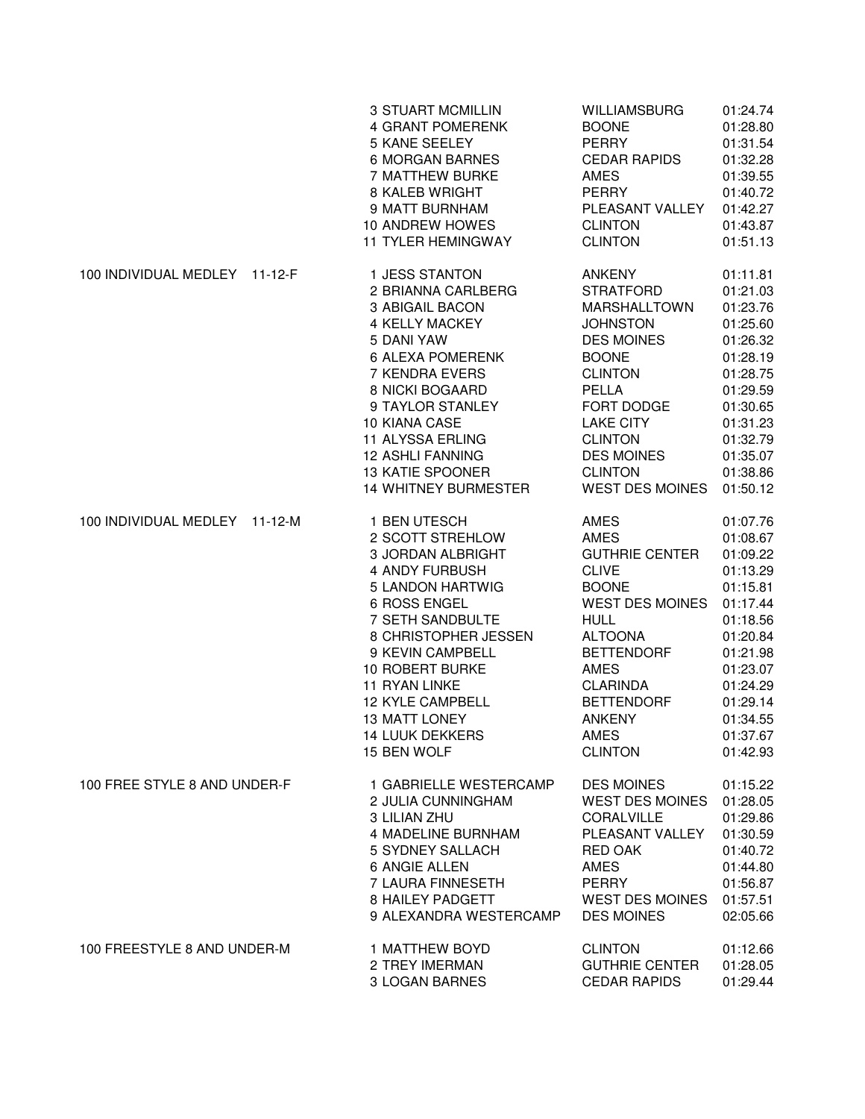|                               | <b>3 STUART MCMILLIN</b>    | WILLIAMSBURG           | 01:24.74 |
|-------------------------------|-----------------------------|------------------------|----------|
|                               | <b>4 GRANT POMERENK</b>     | <b>BOONE</b>           | 01:28.80 |
|                               | <b>5 KANE SEELEY</b>        | <b>PERRY</b>           | 01:31.54 |
|                               | <b>6 MORGAN BARNES</b>      | <b>CEDAR RAPIDS</b>    | 01:32.28 |
|                               | 7 MATTHEW BURKE             | <b>AMES</b>            | 01:39.55 |
|                               | 8 KALEB WRIGHT              | <b>PERRY</b>           | 01:40.72 |
|                               | 9 MATT BURNHAM              | PLEASANT VALLEY        | 01:42.27 |
|                               | 10 ANDREW HOWES             | <b>CLINTON</b>         | 01:43.87 |
|                               | <b>11 TYLER HEMINGWAY</b>   | <b>CLINTON</b>         | 01:51.13 |
| 100 INDIVIDUAL MEDLEY 11-12-F | 1 JESS STANTON              | <b>ANKENY</b>          | 01:11.81 |
|                               | 2 BRIANNA CARLBERG          | <b>STRATFORD</b>       | 01:21.03 |
|                               | 3 ABIGAIL BACON             | <b>MARSHALLTOWN</b>    | 01:23.76 |
|                               | 4 KELLY MACKEY              | <b>JOHNSTON</b>        | 01:25.60 |
|                               | 5 DANI YAW                  | <b>DES MOINES</b>      | 01:26.32 |
|                               | <b>6 ALEXA POMERENK</b>     | <b>BOONE</b>           | 01:28.19 |
|                               | 7 KENDRA EVERS              | <b>CLINTON</b>         | 01:28.75 |
|                               | 8 NICKI BOGAARD             | PELLA                  | 01:29.59 |
|                               | 9 TAYLOR STANLEY            | FORT DODGE             | 01:30.65 |
|                               | 10 KIANA CASE               | <b>LAKE CITY</b>       | 01:31.23 |
|                               | 11 ALYSSA ERLING            | <b>CLINTON</b>         | 01:32.79 |
|                               | <b>12 ASHLI FANNING</b>     | <b>DES MOINES</b>      | 01:35.07 |
|                               | <b>13 KATIE SPOONER</b>     | <b>CLINTON</b>         | 01:38.86 |
|                               | <b>14 WHITNEY BURMESTER</b> | <b>WEST DES MOINES</b> | 01:50.12 |
| 100 INDIVIDUAL MEDLEY 11-12-M | 1 BEN UTESCH                | <b>AMES</b>            | 01:07.76 |
|                               | 2 SCOTT STREHLOW            | <b>AMES</b>            | 01:08.67 |
|                               | <b>3 JORDAN ALBRIGHT</b>    | <b>GUTHRIE CENTER</b>  | 01:09.22 |
|                               | <b>4 ANDY FURBUSH</b>       | <b>CLIVE</b>           | 01:13.29 |
|                               | 5 LANDON HARTWIG            | <b>BOONE</b>           | 01:15.81 |
|                               | 6 ROSS ENGEL                | <b>WEST DES MOINES</b> | 01:17.44 |
|                               | 7 SETH SANDBULTE            | <b>HULL</b>            | 01:18.56 |
|                               | 8 CHRISTOPHER JESSEN        | <b>ALTOONA</b>         | 01:20.84 |
|                               | 9 KEVIN CAMPBELL            | <b>BETTENDORF</b>      | 01:21.98 |
|                               | 10 ROBERT BURKE             | <b>AMES</b>            | 01:23.07 |
|                               | <b>11 RYAN LINKE</b>        | <b>CLARINDA</b>        | 01:24.29 |
|                               | <b>12 KYLE CAMPBELL</b>     | <b>BETTENDORF</b>      | 01:29.14 |
|                               | <b>13 MATT LONEY</b>        | <b>ANKENY</b>          | 01:34.55 |
|                               | <b>14 LUUK DEKKERS</b>      | AMES                   | 01:37.67 |
|                               | 15 BEN WOLF                 | <b>CLINTON</b>         | 01:42.93 |
| 100 FREE STYLE 8 AND UNDER-F  | 1 GABRIELLE WESTERCAMP      | <b>DES MOINES</b>      | 01:15.22 |
|                               | 2 JULIA CUNNINGHAM          | WEST DES MOINES        | 01:28.05 |
|                               | 3 LILIAN ZHU                | CORALVILLE             | 01:29.86 |
|                               | <b>4 MADELINE BURNHAM</b>   | PLEASANT VALLEY        | 01:30.59 |
|                               | 5 SYDNEY SALLACH            | RED OAK                | 01:40.72 |
|                               | <b>6 ANGIE ALLEN</b>        | AMES                   | 01:44.80 |
|                               | 7 LAURA FINNESETH           | PERRY                  | 01:56.87 |
|                               | 8 HAILEY PADGETT            | <b>WEST DES MOINES</b> | 01:57.51 |
|                               | 9 ALEXANDRA WESTERCAMP      | <b>DES MOINES</b>      | 02:05.66 |
| 100 FREESTYLE 8 AND UNDER-M   | 1 MATTHEW BOYD              | <b>CLINTON</b>         | 01:12.66 |
|                               | 2 TREY IMERMAN              | <b>GUTHRIE CENTER</b>  | 01:28.05 |
|                               | <b>3 LOGAN BARNES</b>       | <b>CEDAR RAPIDS</b>    | 01:29.44 |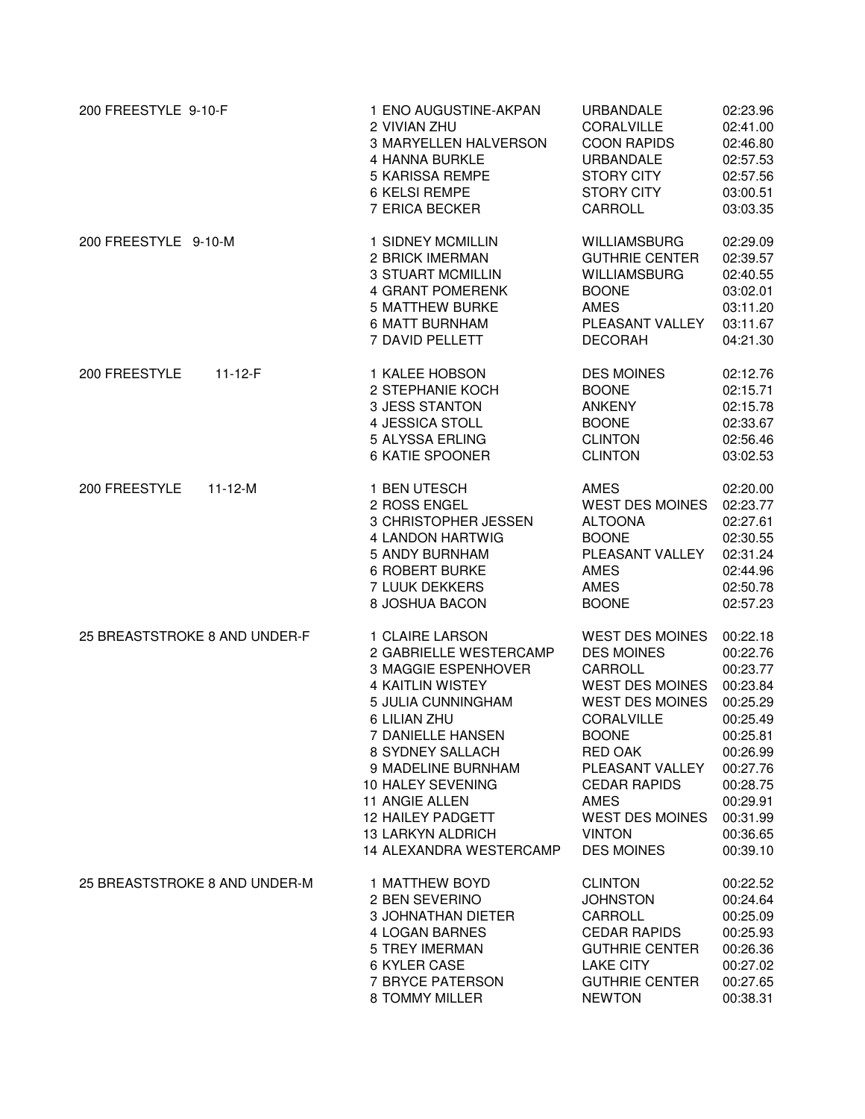| 200 FREESTYLE 9-10-F           | 1 ENO AUGUSTINE-AKPAN                                                                                                                            | <b>URBANDALE</b>                                                                                                           | 02:23.96                                                                                     |
|--------------------------------|--------------------------------------------------------------------------------------------------------------------------------------------------|----------------------------------------------------------------------------------------------------------------------------|----------------------------------------------------------------------------------------------|
|                                | 2 VIVIAN ZHU                                                                                                                                     | <b>CORALVILLE</b>                                                                                                          | 02:41.00                                                                                     |
|                                | <b>3 MARYELLEN HALVERSON</b>                                                                                                                     | <b>COON RAPIDS</b>                                                                                                         | 02:46.80                                                                                     |
|                                | 4 HANNA BURKLE                                                                                                                                   | URBANDALE                                                                                                                  | 02:57.53                                                                                     |
|                                | 5 KARISSA REMPE                                                                                                                                  | STORY CITY                                                                                                                 | 02:57.56                                                                                     |
|                                | 6 KELSI REMPE                                                                                                                                    | STORY CITY                                                                                                                 | 03:00.51                                                                                     |
|                                | 7 ERICA BECKER                                                                                                                                   | CARROLL                                                                                                                    | 03:03.35                                                                                     |
| 200 FREESTYLE 9-10-M           | 1 SIDNEY MCMILLIN                                                                                                                                | <b>WILLIAMSBURG</b>                                                                                                        | 02:29.09                                                                                     |
|                                | 2 BRICK IMERMAN                                                                                                                                  | <b>GUTHRIE CENTER</b>                                                                                                      | 02:39.57                                                                                     |
|                                | <b>3 STUART MCMILLIN</b>                                                                                                                         | <b>WILLIAMSBURG</b>                                                                                                        | 02:40.55                                                                                     |
|                                | 4 GRANT POMERENK                                                                                                                                 | <b>BOONE</b>                                                                                                               | 03:02.01                                                                                     |
|                                | <b>5 MATTHEW BURKE</b>                                                                                                                           | AMES                                                                                                                       | 03:11.20                                                                                     |
|                                | <b>6 MATT BURNHAM</b>                                                                                                                            | PLEASANT VALLEY                                                                                                            | 03:11.67                                                                                     |
|                                | 7 DAVID PELLETT                                                                                                                                  | <b>DECORAH</b>                                                                                                             | 04:21.30                                                                                     |
| 200 FREESTYLE<br>$11 - 12 - F$ | 1 KALEE HOBSON<br>2 STEPHANIE KOCH<br><b>3 JESS STANTON</b><br>4 JESSICA STOLL<br>5 ALYSSA ERLING<br>6 KATIE SPOONER                             | <b>DES MOINES</b><br><b>BOONE</b><br>ANKENY<br><b>BOONE</b><br><b>CLINTON</b><br><b>CLINTON</b>                            | 02:12.76<br>02:15.71<br>02:15.78<br>02:33.67<br>02:56.46<br>03:02.53                         |
| 200 FREESTYLE<br>$11 - 12 - M$ | 1 BEN UTESCH<br>2 ROSS ENGEL<br>3 CHRISTOPHER JESSEN<br>4 LANDON HARTWIG<br>5 ANDY BURNHAM<br>6 ROBERT BURKE<br>7 LUUK DEKKERS<br>8 JOSHUA BACON | AMES<br><b>WEST DES MOINES</b><br><b>ALTOONA</b><br><b>BOONE</b><br>PLEASANT VALLEY<br><b>AMES</b><br>AMES<br><b>BOONE</b> | 02:20.00<br>02:23.77<br>02:27.61<br>02:30.55<br>02:31.24<br>02:44.96<br>02:50.78<br>02:57.23 |
| 25 BREASTSTROKE 8 AND UNDER-F  | 1 CLAIRE LARSON                                                                                                                                  | <b>WEST DES MOINES</b>                                                                                                     | 00:22.18                                                                                     |
|                                | 2 GABRIELLE WESTERCAMP                                                                                                                           | <b>DES MOINES</b>                                                                                                          | 00:22.76                                                                                     |
|                                | <b>3 MAGGIE ESPENHOVER</b>                                                                                                                       | CARROLL                                                                                                                    | 00:23.77                                                                                     |
|                                | <b>4 KAITLIN WISTEY</b>                                                                                                                          | <b>WEST DES MOINES</b>                                                                                                     | 00:23.84                                                                                     |
|                                | 5 JULIA CUNNINGHAM                                                                                                                               | <b>WEST DES MOINES</b>                                                                                                     | 00:25.29                                                                                     |
|                                | 6 LILIAN ZHU                                                                                                                                     | CORALVILLE                                                                                                                 | 00:25.49                                                                                     |
|                                | 7 DANIELLE HANSEN                                                                                                                                | <b>BOONE</b>                                                                                                               | 00:25.81                                                                                     |
|                                | 8 SYDNEY SALLACH                                                                                                                                 | RED OAK                                                                                                                    | 00:26.99                                                                                     |
|                                | 9 MADELINE BURNHAM                                                                                                                               | PLEASANT VALLEY                                                                                                            | 00:27.76                                                                                     |
|                                | 10 HALEY SEVENING                                                                                                                                | <b>CEDAR RAPIDS</b>                                                                                                        | 00:28.75                                                                                     |
|                                | 11 ANGIE ALLEN                                                                                                                                   | <b>AMES</b>                                                                                                                | 00:29.91                                                                                     |
|                                | 12 HAILEY PADGETT                                                                                                                                | WEST DES MOINES                                                                                                            | 00:31.99                                                                                     |
|                                | 13 LARKYN ALDRICH                                                                                                                                | <b>VINTON</b>                                                                                                              | 00:36.65                                                                                     |
|                                | 14 ALEXANDRA WESTERCAMP                                                                                                                          | <b>DES MOINES</b>                                                                                                          | 00:39.10                                                                                     |
| 25 BREASTSTROKE 8 AND UNDER-M  | 1 MATTHEW BOYD                                                                                                                                   | <b>CLINTON</b>                                                                                                             | 00:22.52                                                                                     |
|                                | 2 BEN SEVERINO                                                                                                                                   | <b>JOHNSTON</b>                                                                                                            | 00:24.64                                                                                     |
|                                | 3 JOHNATHAN DIETER                                                                                                                               | CARROLL                                                                                                                    | 00:25.09                                                                                     |
|                                | 4 LOGAN BARNES                                                                                                                                   | <b>CEDAR RAPIDS</b>                                                                                                        | 00:25.93                                                                                     |
|                                | <b>5 TREY IMERMAN</b>                                                                                                                            | <b>GUTHRIE CENTER</b>                                                                                                      | 00:26.36                                                                                     |
|                                | 6 KYLER CASE                                                                                                                                     | <b>LAKE CITY</b>                                                                                                           | 00:27.02                                                                                     |
|                                | 7 BRYCE PATERSON                                                                                                                                 | <b>GUTHRIE CENTER</b>                                                                                                      | 00:27.65                                                                                     |
|                                | 8 TOMMY MILLER                                                                                                                                   | <b>NEWTON</b>                                                                                                              | 00:38.31                                                                                     |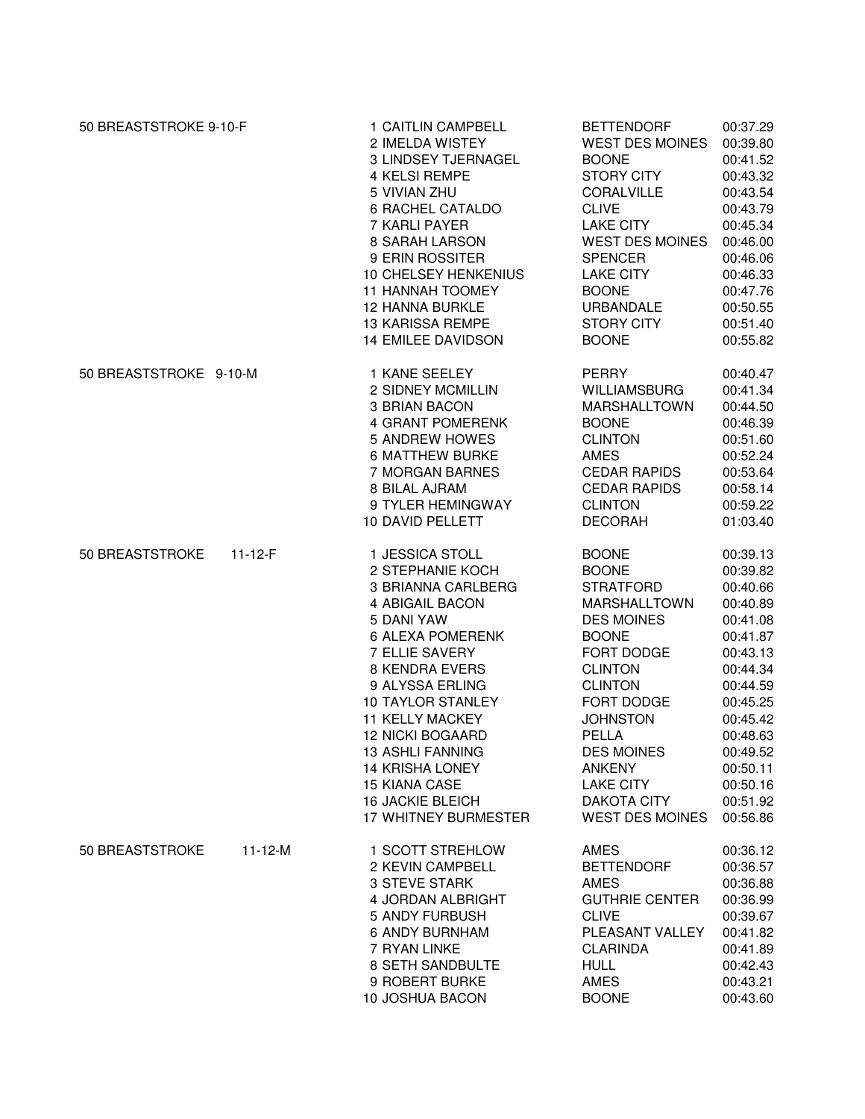| 50 BREASTSTROKE 9-10-F |               | 1 CAITLIN CAMPBELL<br>2 IMELDA WISTEY<br>3 LINDSEY TJERNAGEL<br><b>4 KELSI REMPE</b><br>5 VIVIAN ZHU<br><b>6 RACHEL CATALDO</b><br>7 KARLI PAYER<br>8 SARAH LARSON<br>9 ERIN ROSSITER<br>10 CHELSEY HENKENIUS<br>11 HANNAH TOOMEY<br><b>12 HANNA BURKLE</b><br><b>13 KARISSA REMPE</b><br>14 EMILEE DAVIDSON                                                                                         | <b>BETTENDORF</b><br><b>WEST DES MOINES</b><br><b>BOONE</b><br><b>STORY CITY</b><br>CORALVILLE<br><b>CLIVE</b><br><b>LAKE CITY</b><br><b>WEST DES MOINES</b><br><b>SPENCER</b><br><b>LAKE CITY</b><br><b>BOONE</b><br><b>URBANDALE</b><br><b>STORY CITY</b><br><b>BOONE</b>                                        | 00:37.29<br>00:39.80<br>00:41.52<br>00:43.32<br>00:43.54<br>00:43.79<br>00:45.34<br>00:46.00<br>00:46.06<br>00:46.33<br>00:47.76<br>00:50.55<br>00:51.40<br>00:55.82                                     |
|------------------------|---------------|------------------------------------------------------------------------------------------------------------------------------------------------------------------------------------------------------------------------------------------------------------------------------------------------------------------------------------------------------------------------------------------------------|--------------------------------------------------------------------------------------------------------------------------------------------------------------------------------------------------------------------------------------------------------------------------------------------------------------------|----------------------------------------------------------------------------------------------------------------------------------------------------------------------------------------------------------|
| 50 BREASTSTROKE 9-10-M |               | 1 KANE SEELEY<br>2 SIDNEY MCMILLIN<br>3 BRIAN BACON<br>4 GRANT POMERENK<br><b>5 ANDREW HOWES</b><br><b>6 MATTHEW BURKE</b><br>7 MORGAN BARNES<br>8 BILAL AJRAM<br>9 TYLER HEMINGWAY<br>10 DAVID PELLETT                                                                                                                                                                                              | <b>PERRY</b><br><b>WILLIAMSBURG</b><br><b>MARSHALLTOWN</b><br><b>BOONE</b><br><b>CLINTON</b><br><b>AMES</b><br><b>CEDAR RAPIDS</b><br><b>CEDAR RAPIDS</b><br><b>CLINTON</b><br><b>DECORAH</b>                                                                                                                      | 00:40.47<br>00:41.34<br>00:44.50<br>00:46.39<br>00:51.60<br>00:52.24<br>00:53.64<br>00:58.14<br>00:59.22<br>01:03.40                                                                                     |
| 50 BREASTSTROKE        | $11 - 12 - F$ | 1 JESSICA STOLL<br>2 STEPHANIE KOCH<br>3 BRIANNA CARLBERG<br>4 ABIGAIL BACON<br>5 DANI YAW<br><b>6 ALEXA POMERENK</b><br>7 ELLIE SAVERY<br><b>8 KENDRA EVERS</b><br>9 ALYSSA ERLING<br><b>10 TAYLOR STANLEY</b><br><b>11 KELLY MACKEY</b><br><b>12 NICKI BOGAARD</b><br>13 ASHLI FANNING<br><b>14 KRISHA LONEY</b><br><b>15 KIANA CASE</b><br><b>16 JACKIE BLEICH</b><br><b>17 WHITNEY BURMESTER</b> | <b>BOONE</b><br><b>BOONE</b><br><b>STRATFORD</b><br><b>MARSHALLTOWN</b><br><b>DES MOINES</b><br><b>BOONE</b><br>FORT DODGE<br><b>CLINTON</b><br><b>CLINTON</b><br>FORT DODGE<br><b>JOHNSTON</b><br><b>PELLA</b><br><b>DES MOINES</b><br><b>ANKENY</b><br><b>LAKE CITY</b><br>DAKOTA CITY<br><b>WEST DES MOINES</b> | 00:39.13<br>00:39.82<br>00:40.66<br>00:40.89<br>00:41.08<br>00:41.87<br>00:43.13<br>00:44.34<br>00:44.59<br>00:45.25<br>00:45.42<br>00:48.63<br>00:49.52<br>00:50.11<br>00:50.16<br>00:51.92<br>00:56.86 |
| 50 BREASTSTROKE        | $11 - 12 - M$ | 1 SCOTT STREHLOW<br>2 KEVIN CAMPBELL<br><b>3 STEVE STARK</b><br>4 JORDAN ALBRIGHT<br>5 ANDY FURBUSH<br><b>6 ANDY BURNHAM</b><br>7 RYAN LINKE<br>8 SETH SANDBULTE<br>9 ROBERT BURKE<br>10 JOSHUA BACON                                                                                                                                                                                                | <b>AMES</b><br><b>BETTENDORF</b><br><b>AMES</b><br><b>GUTHRIE CENTER</b><br><b>CLIVE</b><br>PLEASANT VALLEY<br><b>CLARINDA</b><br><b>HULL</b><br><b>AMES</b><br><b>BOONE</b>                                                                                                                                       | 00:36.12<br>00:36.57<br>00:36.88<br>00:36.99<br>00:39.67<br>00:41.82<br>00:41.89<br>00:42.43<br>00:43.21<br>00:43.60                                                                                     |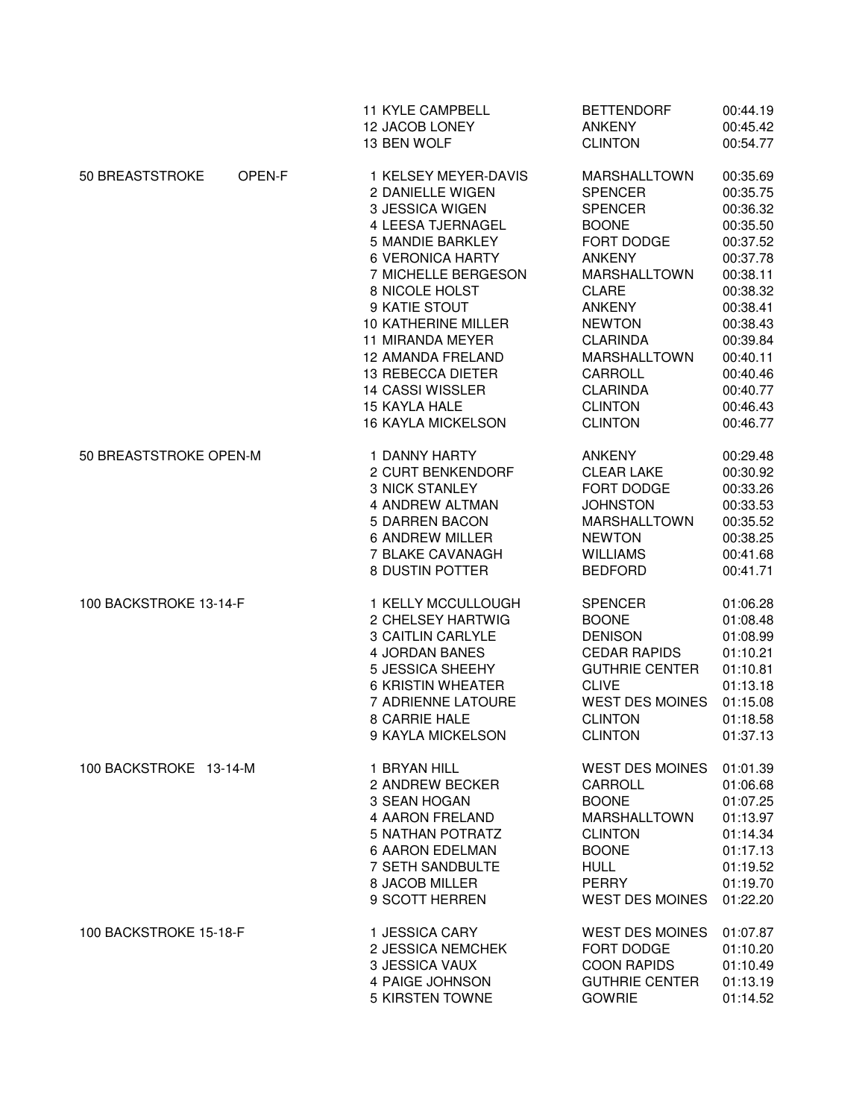|                           | 11 KYLE CAMPBELL                                                                                                                                                                                                                                                                                                                                               | <b>BETTENDORF</b>                                                                                                                                                                                                                                                                           | 00:44.19                                                                                                                                                                                     |
|---------------------------|----------------------------------------------------------------------------------------------------------------------------------------------------------------------------------------------------------------------------------------------------------------------------------------------------------------------------------------------------------------|---------------------------------------------------------------------------------------------------------------------------------------------------------------------------------------------------------------------------------------------------------------------------------------------|----------------------------------------------------------------------------------------------------------------------------------------------------------------------------------------------|
|                           | 12 JACOB LONEY                                                                                                                                                                                                                                                                                                                                                 | <b>ANKENY</b>                                                                                                                                                                                                                                                                               | 00:45.42                                                                                                                                                                                     |
|                           | 13 BEN WOLF                                                                                                                                                                                                                                                                                                                                                    | <b>CLINTON</b>                                                                                                                                                                                                                                                                              | 00:54.77                                                                                                                                                                                     |
| 50 BREASTSTROKE<br>OPEN-F | 1 KELSEY MEYER-DAVIS<br>2 DANIELLE WIGEN<br>3 JESSICA WIGEN<br>4 LEESA TJERNAGEL<br><b>5 MANDIE BARKLEY</b><br><b>6 VERONICA HARTY</b><br>7 MICHELLE BERGESON<br>8 NICOLE HOLST<br>9 KATIE STOUT<br>10 KATHERINE MILLER<br>11 MIRANDA MEYER<br>12 AMANDA FRELAND<br>13 REBECCA DIETER<br><b>14 CASSI WISSLER</b><br>15 KAYLA HALE<br><b>16 KAYLA MICKELSON</b> | <b>MARSHALLTOWN</b><br><b>SPENCER</b><br><b>SPENCER</b><br><b>BOONE</b><br>FORT DODGE<br><b>ANKENY</b><br><b>MARSHALLTOWN</b><br><b>CLARE</b><br><b>ANKENY</b><br><b>NEWTON</b><br><b>CLARINDA</b><br><b>MARSHALLTOWN</b><br>CARROLL<br><b>CLARINDA</b><br><b>CLINTON</b><br><b>CLINTON</b> | 00:35.69<br>00:35.75<br>00:36.32<br>00:35.50<br>00:37.52<br>00:37.78<br>00:38.11<br>00:38.32<br>00:38.41<br>00:38.43<br>00:39.84<br>00:40.11<br>00:40.46<br>00:40.77<br>00:46.43<br>00:46.77 |
| 50 BREASTSTROKE OPEN-M    | 1 DANNY HARTY                                                                                                                                                                                                                                                                                                                                                  | <b>ANKENY</b>                                                                                                                                                                                                                                                                               | 00:29.48                                                                                                                                                                                     |
|                           | <b>2 CURT BENKENDORF</b>                                                                                                                                                                                                                                                                                                                                       | <b>CLEAR LAKE</b>                                                                                                                                                                                                                                                                           | 00:30.92                                                                                                                                                                                     |
|                           | <b>3 NICK STANLEY</b>                                                                                                                                                                                                                                                                                                                                          | FORT DODGE                                                                                                                                                                                                                                                                                  | 00:33.26                                                                                                                                                                                     |
|                           | 4 ANDREW ALTMAN                                                                                                                                                                                                                                                                                                                                                | <b>JOHNSTON</b>                                                                                                                                                                                                                                                                             | 00:33.53                                                                                                                                                                                     |
|                           | 5 DARREN BACON                                                                                                                                                                                                                                                                                                                                                 | <b>MARSHALLTOWN</b>                                                                                                                                                                                                                                                                         | 00:35.52                                                                                                                                                                                     |
|                           | <b>6 ANDREW MILLER</b>                                                                                                                                                                                                                                                                                                                                         | <b>NEWTON</b>                                                                                                                                                                                                                                                                               | 00:38.25                                                                                                                                                                                     |
|                           | 7 BLAKE CAVANAGH                                                                                                                                                                                                                                                                                                                                               | <b>WILLIAMS</b>                                                                                                                                                                                                                                                                             | 00:41.68                                                                                                                                                                                     |
|                           | 8 DUSTIN POTTER                                                                                                                                                                                                                                                                                                                                                | <b>BEDFORD</b>                                                                                                                                                                                                                                                                              | 00:41.71                                                                                                                                                                                     |
| 100 BACKSTROKE 13-14-F    | 1 KELLY MCCULLOUGH                                                                                                                                                                                                                                                                                                                                             | <b>SPENCER</b>                                                                                                                                                                                                                                                                              | 01:06.28                                                                                                                                                                                     |
|                           | 2 CHELSEY HARTWIG                                                                                                                                                                                                                                                                                                                                              | <b>BOONE</b>                                                                                                                                                                                                                                                                                | 01:08.48                                                                                                                                                                                     |
|                           | 3 CAITLIN CARLYLE                                                                                                                                                                                                                                                                                                                                              | <b>DENISON</b>                                                                                                                                                                                                                                                                              | 01:08.99                                                                                                                                                                                     |
|                           | <b>4 JORDAN BANES</b>                                                                                                                                                                                                                                                                                                                                          | <b>CEDAR RAPIDS</b>                                                                                                                                                                                                                                                                         | 01:10.21                                                                                                                                                                                     |
|                           | 5 JESSICA SHEEHY                                                                                                                                                                                                                                                                                                                                               | <b>GUTHRIE CENTER</b>                                                                                                                                                                                                                                                                       | 01:10.81                                                                                                                                                                                     |
|                           | <b>6 KRISTIN WHEATER</b>                                                                                                                                                                                                                                                                                                                                       | <b>CLIVE</b>                                                                                                                                                                                                                                                                                | 01:13.18                                                                                                                                                                                     |
|                           | 7 ADRIENNE LATOURE                                                                                                                                                                                                                                                                                                                                             | <b>WEST DES MOINES</b>                                                                                                                                                                                                                                                                      | 01:15.08                                                                                                                                                                                     |
|                           | 8 CARRIE HALE                                                                                                                                                                                                                                                                                                                                                  | <b>CLINTON</b>                                                                                                                                                                                                                                                                              | 01:18.58                                                                                                                                                                                     |
|                           | 9 KAYLA MICKELSON                                                                                                                                                                                                                                                                                                                                              | <b>CLINTON</b>                                                                                                                                                                                                                                                                              | 01:37.13                                                                                                                                                                                     |
| 100 BACKSTROKE 13-14-M    | 1 BRYAN HILL                                                                                                                                                                                                                                                                                                                                                   | <b>WEST DES MOINES</b>                                                                                                                                                                                                                                                                      | 01:01.39                                                                                                                                                                                     |
|                           | 2 ANDREW BECKER                                                                                                                                                                                                                                                                                                                                                | CARROLL                                                                                                                                                                                                                                                                                     | 01:06.68                                                                                                                                                                                     |
|                           | 3 SEAN HOGAN                                                                                                                                                                                                                                                                                                                                                   | <b>BOONE</b>                                                                                                                                                                                                                                                                                | 01:07.25                                                                                                                                                                                     |
|                           | 4 AARON FRELAND                                                                                                                                                                                                                                                                                                                                                | <b>MARSHALLTOWN</b>                                                                                                                                                                                                                                                                         | 01:13.97                                                                                                                                                                                     |
|                           | <b>5 NATHAN POTRATZ</b>                                                                                                                                                                                                                                                                                                                                        | <b>CLINTON</b>                                                                                                                                                                                                                                                                              | 01:14.34                                                                                                                                                                                     |
|                           | <b>6 AARON EDELMAN</b>                                                                                                                                                                                                                                                                                                                                         | <b>BOONE</b>                                                                                                                                                                                                                                                                                | 01:17.13                                                                                                                                                                                     |
|                           | 7 SETH SANDBULTE                                                                                                                                                                                                                                                                                                                                               | <b>HULL</b>                                                                                                                                                                                                                                                                                 | 01:19.52                                                                                                                                                                                     |
|                           | 8 JACOB MILLER                                                                                                                                                                                                                                                                                                                                                 | PERRY                                                                                                                                                                                                                                                                                       | 01:19.70                                                                                                                                                                                     |
|                           | 9 SCOTT HERREN                                                                                                                                                                                                                                                                                                                                                 | <b>WEST DES MOINES</b>                                                                                                                                                                                                                                                                      | 01:22.20                                                                                                                                                                                     |
| 100 BACKSTROKE 15-18-F    | 1 JESSICA CARY                                                                                                                                                                                                                                                                                                                                                 | <b>WEST DES MOINES</b>                                                                                                                                                                                                                                                                      | 01:07.87                                                                                                                                                                                     |
|                           | 2 JESSICA NEMCHEK                                                                                                                                                                                                                                                                                                                                              | FORT DODGE                                                                                                                                                                                                                                                                                  | 01:10.20                                                                                                                                                                                     |
|                           | 3 JESSICA VAUX                                                                                                                                                                                                                                                                                                                                                 | <b>COON RAPIDS</b>                                                                                                                                                                                                                                                                          | 01:10.49                                                                                                                                                                                     |
|                           | 4 PAIGE JOHNSON                                                                                                                                                                                                                                                                                                                                                | <b>GUTHRIE CENTER</b>                                                                                                                                                                                                                                                                       | 01:13.19                                                                                                                                                                                     |
|                           | 5 KIRSTEN TOWNE                                                                                                                                                                                                                                                                                                                                                | <b>GOWRIE</b>                                                                                                                                                                                                                                                                               | 01:14.52                                                                                                                                                                                     |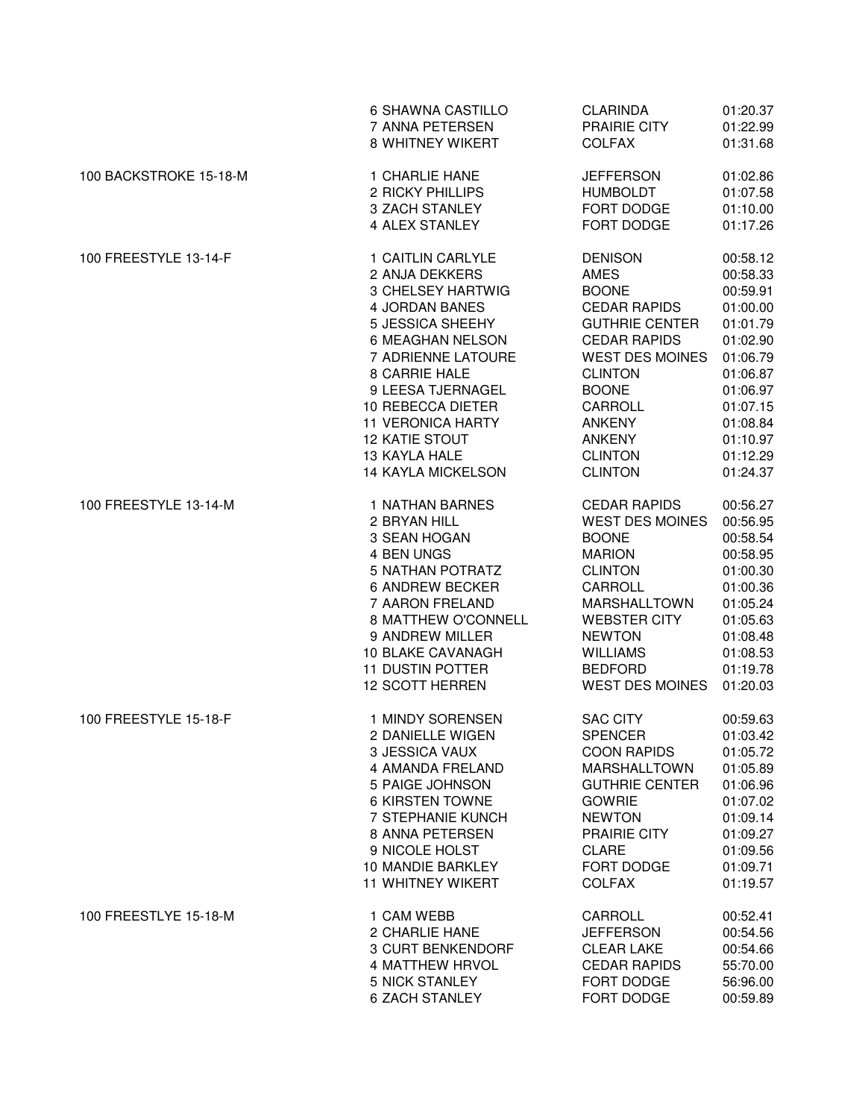|                        | 6 SHAWNA CASTILLO        | <b>CLARINDA</b>        | 01:20.37 |
|------------------------|--------------------------|------------------------|----------|
|                        | 7 ANNA PETERSEN          | PRAIRIE CITY           | 01:22.99 |
|                        | 8 WHITNEY WIKERT         | <b>COLFAX</b>          | 01:31.68 |
| 100 BACKSTROKE 15-18-M | 1 CHARLIE HANE           | <b>JEFFERSON</b>       | 01:02.86 |
|                        | 2 RICKY PHILLIPS         | <b>HUMBOLDT</b>        | 01:07.58 |
|                        | 3 ZACH STANLEY           | FORT DODGE             | 01:10.00 |
|                        | 4 ALEX STANLEY           | FORT DODGE             | 01:17.26 |
| 100 FREESTYLE 13-14-F  | 1 CAITLIN CARLYLE        | <b>DENISON</b>         | 00:58.12 |
|                        | 2 ANJA DEKKERS           | AMES                   | 00:58.33 |
|                        | 3 CHELSEY HARTWIG        | <b>BOONE</b>           | 00:59.91 |
|                        | 4 JORDAN BANES           | <b>CEDAR RAPIDS</b>    | 01:00.00 |
|                        | 5 JESSICA SHEEHY         | <b>GUTHRIE CENTER</b>  | 01:01.79 |
|                        | 6 MEAGHAN NELSON         | <b>CEDAR RAPIDS</b>    | 01:02.90 |
|                        | 7 ADRIENNE LATOURE       | <b>WEST DES MOINES</b> | 01:06.79 |
|                        | 8 CARRIE HALE            | <b>CLINTON</b>         | 01:06.87 |
|                        | 9 LEESA TJERNAGEL        | <b>BOONE</b>           | 01:06.97 |
|                        | 10 REBECCA DIETER        | CARROLL                | 01:07.15 |
|                        | <b>11 VERONICA HARTY</b> | <b>ANKENY</b>          | 01:08.84 |
|                        | <b>12 KATIE STOUT</b>    | <b>ANKENY</b>          | 01:10.97 |
|                        | 13 KAYLA HALE            | <b>CLINTON</b>         | 01:12.29 |
|                        | 14 KAYLA MICKELSON       | <b>CLINTON</b>         | 01:24.37 |
| 100 FREESTYLE 13-14-M  | <b>1 NATHAN BARNES</b>   | <b>CEDAR RAPIDS</b>    | 00:56.27 |
|                        | 2 BRYAN HILL             | <b>WEST DES MOINES</b> | 00:56.95 |
|                        | 3 SEAN HOGAN             | <b>BOONE</b>           | 00:58.54 |
|                        | 4 BEN UNGS               | <b>MARION</b>          | 00:58.95 |
|                        | <b>5 NATHAN POTRATZ</b>  | <b>CLINTON</b>         | 01:00.30 |
|                        | <b>6 ANDREW BECKER</b>   | CARROLL                | 01:00.36 |
|                        | 7 AARON FRELAND          | <b>MARSHALLTOWN</b>    | 01:05.24 |
|                        | 8 MATTHEW O'CONNELL      | <b>WEBSTER CITY</b>    | 01:05.63 |
|                        | 9 ANDREW MILLER          | <b>NEWTON</b>          | 01:08.48 |
|                        | <b>10 BLAKE CAVANAGH</b> | <b>WILLIAMS</b>        | 01:08.53 |
|                        | <b>11 DUSTIN POTTER</b>  | <b>BEDFORD</b>         | 01:19.78 |
|                        | <b>12 SCOTT HERREN</b>   | <b>WEST DES MOINES</b> | 01:20.03 |
| 100 FREESTYLE 15-18-F  | 1 MINDY SORENSEN         | <b>SAC CITY</b>        | 00:59.63 |
|                        | 2 DANIELLE WIGEN         | <b>SPENCER</b>         | 01:03.42 |
|                        | 3 JESSICA VAUX           | <b>COON RAPIDS</b>     | 01:05.72 |
|                        | 4 AMANDA FRELAND         | MARSHALLTOWN           | 01:05.89 |
|                        | 5 PAIGE JOHNSON          | <b>GUTHRIE CENTER</b>  | 01:06.96 |
|                        | <b>6 KIRSTEN TOWNE</b>   | <b>GOWRIE</b>          | 01:07.02 |
|                        | 7 STEPHANIE KUNCH        | <b>NEWTON</b>          | 01:09.14 |
|                        | 8 ANNA PETERSEN          | PRAIRIE CITY           | 01:09.27 |
|                        | 9 NICOLE HOLST           | <b>CLARE</b>           | 01:09.56 |
|                        | 10 MANDIE BARKLEY        | FORT DODGE             | 01:09.71 |
|                        | <b>11 WHITNEY WIKERT</b> | <b>COLFAX</b>          | 01:19.57 |
| 100 FREESTLYE 15-18-M  | 1 CAM WEBB               | CARROLL                | 00:52.41 |
|                        | 2 CHARLIE HANE           | <b>JEFFERSON</b>       | 00:54.56 |
|                        | 3 CURT BENKENDORF        | <b>CLEAR LAKE</b>      | 00:54.66 |
|                        | <b>4 MATTHEW HRVOL</b>   | <b>CEDAR RAPIDS</b>    | 55:70.00 |
|                        | <b>5 NICK STANLEY</b>    | FORT DODGE             | 56:96.00 |
|                        | <b>6 ZACH STANLEY</b>    | FORT DODGE             | 00:59.89 |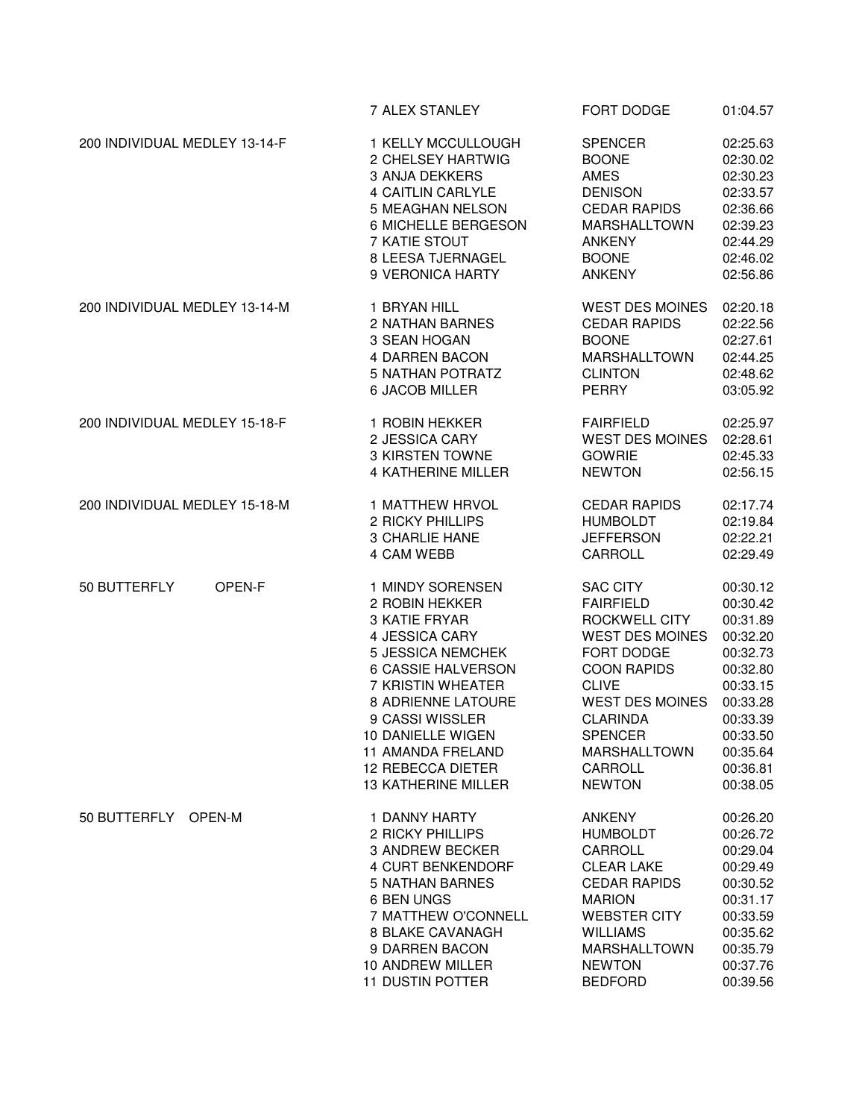|                               | 7 ALEX STANLEY                                                                                                                                                                                                                                                              | FORT DODGE                                                                                                                                                                                                                                           | 01:04.57                                                                                                                                                 |
|-------------------------------|-----------------------------------------------------------------------------------------------------------------------------------------------------------------------------------------------------------------------------------------------------------------------------|------------------------------------------------------------------------------------------------------------------------------------------------------------------------------------------------------------------------------------------------------|----------------------------------------------------------------------------------------------------------------------------------------------------------|
| 200 INDIVIDUAL MEDLEY 13-14-F | 1 KELLY MCCULLOUGH                                                                                                                                                                                                                                                          | <b>SPENCER</b>                                                                                                                                                                                                                                       | 02:25.63                                                                                                                                                 |
|                               | 2 CHELSEY HARTWIG                                                                                                                                                                                                                                                           | <b>BOONE</b>                                                                                                                                                                                                                                         | 02:30.02                                                                                                                                                 |
|                               | <b>3 ANJA DEKKERS</b>                                                                                                                                                                                                                                                       | <b>AMES</b>                                                                                                                                                                                                                                          | 02:30.23                                                                                                                                                 |
|                               | 4 CAITLIN CARLYLE                                                                                                                                                                                                                                                           | <b>DENISON</b>                                                                                                                                                                                                                                       | 02:33.57                                                                                                                                                 |
|                               | 5 MEAGHAN NELSON                                                                                                                                                                                                                                                            | <b>CEDAR RAPIDS</b>                                                                                                                                                                                                                                  | 02:36.66                                                                                                                                                 |
|                               | 6 MICHELLE BERGESON                                                                                                                                                                                                                                                         | <b>MARSHALLTOWN</b>                                                                                                                                                                                                                                  | 02:39.23                                                                                                                                                 |
|                               | 7 KATIE STOUT                                                                                                                                                                                                                                                               | <b>ANKENY</b>                                                                                                                                                                                                                                        | 02:44.29                                                                                                                                                 |
|                               | 8 LEESA TJERNAGEL                                                                                                                                                                                                                                                           | <b>BOONE</b>                                                                                                                                                                                                                                         | 02:46.02                                                                                                                                                 |
|                               | 9 VERONICA HARTY                                                                                                                                                                                                                                                            | <b>ANKENY</b>                                                                                                                                                                                                                                        | 02:56.86                                                                                                                                                 |
| 200 INDIVIDUAL MEDLEY 13-14-M | 1 BRYAN HILL                                                                                                                                                                                                                                                                | <b>WEST DES MOINES</b>                                                                                                                                                                                                                               | 02:20.18                                                                                                                                                 |
|                               | 2 NATHAN BARNES                                                                                                                                                                                                                                                             | <b>CEDAR RAPIDS</b>                                                                                                                                                                                                                                  | 02:22.56                                                                                                                                                 |
|                               | 3 SEAN HOGAN                                                                                                                                                                                                                                                                | <b>BOONE</b>                                                                                                                                                                                                                                         | 02:27.61                                                                                                                                                 |
|                               | 4 DARREN BACON                                                                                                                                                                                                                                                              | <b>MARSHALLTOWN</b>                                                                                                                                                                                                                                  | 02:44.25                                                                                                                                                 |
|                               | <b>5 NATHAN POTRATZ</b>                                                                                                                                                                                                                                                     | <b>CLINTON</b>                                                                                                                                                                                                                                       | 02:48.62                                                                                                                                                 |
|                               | 6 JACOB MILLER                                                                                                                                                                                                                                                              | <b>PERRY</b>                                                                                                                                                                                                                                         | 03:05.92                                                                                                                                                 |
| 200 INDIVIDUAL MEDLEY 15-18-F | 1 ROBIN HEKKER                                                                                                                                                                                                                                                              | <b>FAIRFIELD</b>                                                                                                                                                                                                                                     | 02:25.97                                                                                                                                                 |
|                               | 2 JESSICA CARY                                                                                                                                                                                                                                                              | <b>WEST DES MOINES</b>                                                                                                                                                                                                                               | 02:28.61                                                                                                                                                 |
|                               | 3 KIRSTEN TOWNE                                                                                                                                                                                                                                                             | <b>GOWRIE</b>                                                                                                                                                                                                                                        | 02:45.33                                                                                                                                                 |
|                               | <b>4 KATHERINE MILLER</b>                                                                                                                                                                                                                                                   | <b>NEWTON</b>                                                                                                                                                                                                                                        | 02:56.15                                                                                                                                                 |
| 200 INDIVIDUAL MEDLEY 15-18-M | <b>1 MATTHEW HRVOL</b>                                                                                                                                                                                                                                                      | <b>CEDAR RAPIDS</b>                                                                                                                                                                                                                                  | 02:17.74                                                                                                                                                 |
|                               | 2 RICKY PHILLIPS                                                                                                                                                                                                                                                            | <b>HUMBOLDT</b>                                                                                                                                                                                                                                      | 02:19.84                                                                                                                                                 |
|                               | <b>3 CHARLIE HANE</b>                                                                                                                                                                                                                                                       | <b>JEFFERSON</b>                                                                                                                                                                                                                                     | 02:22.21                                                                                                                                                 |
|                               | 4 CAM WEBB                                                                                                                                                                                                                                                                  | CARROLL                                                                                                                                                                                                                                              | 02:29.49                                                                                                                                                 |
| 50 BUTTERFLY<br>OPEN-F        | 1 MINDY SORENSEN<br>2 ROBIN HEKKER<br>3 KATIE FRYAR<br>4 JESSICA CARY<br><b>5 JESSICA NEMCHEK</b><br>6 CASSIE HALVERSON<br>7 KRISTIN WHEATER<br>8 ADRIENNE LATOURE<br>9 CASSI WISSLER<br>10 DANIELLE WIGEN<br>11 AMANDA FRELAND<br>12 REBECCA DIETER<br>13 KATHERINE MILLER | <b>SAC CITY</b><br><b>FAIRFIELD</b><br>ROCKWELL CITY<br><b>WEST DES MOINES</b><br>FORT DODGE<br><b>COON RAPIDS</b><br><b>CLIVE</b><br><b>WEST DES MOINES</b><br><b>CLARINDA</b><br><b>SPENCER</b><br><b>MARSHALLTOWN</b><br>CARROLL<br><b>NEWTON</b> | 00:30.12<br>00:30.42<br>00:31.89<br>00:32.20<br>00:32.73<br>00:32.80<br>00:33.15<br>00:33.28<br>00:33.39<br>00:33.50<br>00:35.64<br>00:36.81<br>00:38.05 |
| 50 BUTTERFLY OPEN-M           | 1 DANNY HARTY                                                                                                                                                                                                                                                               | ANKENY                                                                                                                                                                                                                                               | 00:26.20                                                                                                                                                 |
|                               | 2 RICKY PHILLIPS                                                                                                                                                                                                                                                            | <b>HUMBOLDT</b>                                                                                                                                                                                                                                      | 00:26.72                                                                                                                                                 |
|                               | 3 ANDREW BECKER                                                                                                                                                                                                                                                             | CARROLL                                                                                                                                                                                                                                              | 00:29.04                                                                                                                                                 |
|                               | 4 CURT BENKENDORF                                                                                                                                                                                                                                                           | <b>CLEAR LAKE</b>                                                                                                                                                                                                                                    | 00:29.49                                                                                                                                                 |
|                               | <b>5 NATHAN BARNES</b>                                                                                                                                                                                                                                                      | <b>CEDAR RAPIDS</b>                                                                                                                                                                                                                                  | 00:30.52                                                                                                                                                 |
|                               | 6 BEN UNGS                                                                                                                                                                                                                                                                  | <b>MARION</b>                                                                                                                                                                                                                                        | 00:31.17                                                                                                                                                 |
|                               | 7 MATTHEW O'CONNELL                                                                                                                                                                                                                                                         | <b>WEBSTER CITY</b>                                                                                                                                                                                                                                  | 00:33.59                                                                                                                                                 |
|                               | 8 BLAKE CAVANAGH                                                                                                                                                                                                                                                            | <b>WILLIAMS</b>                                                                                                                                                                                                                                      | 00:35.62                                                                                                                                                 |
|                               | 9 DARREN BACON                                                                                                                                                                                                                                                              | <b>MARSHALLTOWN</b>                                                                                                                                                                                                                                  | 00:35.79                                                                                                                                                 |
|                               | 10 ANDREW MILLER                                                                                                                                                                                                                                                            | <b>NEWTON</b>                                                                                                                                                                                                                                        | 00:37.76                                                                                                                                                 |
|                               | <b>11 DUSTIN POTTER</b>                                                                                                                                                                                                                                                     | <b>BEDFORD</b>                                                                                                                                                                                                                                       | 00:39.56                                                                                                                                                 |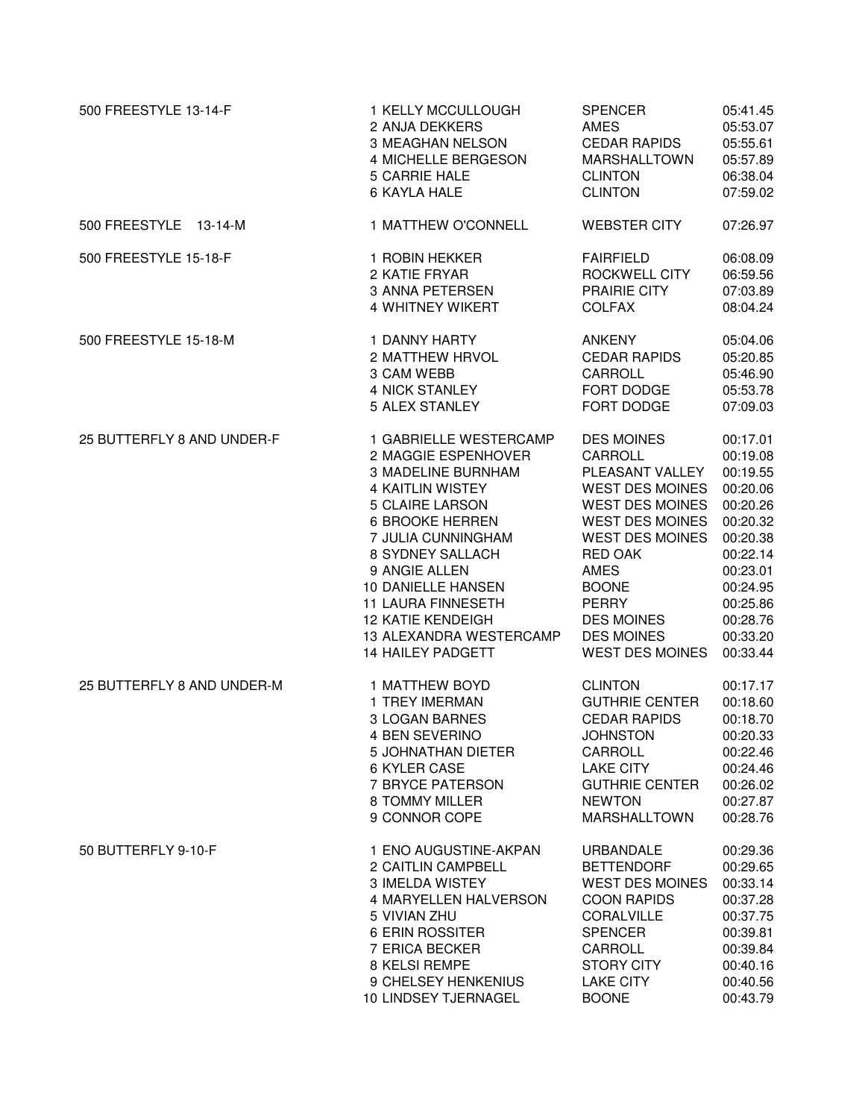| 500 FREESTYLE 13-14-F      | 1 KELLY MCCULLOUGH        | <b>SPENCER</b>         | 05:41.45 |
|----------------------------|---------------------------|------------------------|----------|
|                            | 2 ANJA DEKKERS            | <b>AMES</b>            | 05:53.07 |
|                            | 3 MEAGHAN NELSON          | <b>CEDAR RAPIDS</b>    | 05:55.61 |
|                            | 4 MICHELLE BERGESON       | <b>MARSHALLTOWN</b>    | 05:57.89 |
|                            | 5 CARRIE HALE             | <b>CLINTON</b>         | 06:38.04 |
|                            | 6 KAYLA HALE              | <b>CLINTON</b>         | 07:59.02 |
| 500 FREESTYLE 13-14-M      | 1 MATTHEW O'CONNELL       | <b>WEBSTER CITY</b>    | 07:26.97 |
| 500 FREESTYLE 15-18-F      | 1 ROBIN HEKKER            | <b>FAIRFIELD</b>       | 06:08.09 |
|                            | 2 KATIE FRYAR             | ROCKWELL CITY          | 06:59.56 |
|                            | 3 ANNA PETERSEN           | PRAIRIE CITY           | 07:03.89 |
|                            | <b>4 WHITNEY WIKERT</b>   | <b>COLFAX</b>          | 08:04.24 |
| 500 FREESTYLE 15-18-M      | 1 DANNY HARTY             | ANKENY                 | 05:04.06 |
|                            | 2 MATTHEW HRVOL           | <b>CEDAR RAPIDS</b>    | 05:20.85 |
|                            | 3 CAM WEBB                | CARROLL                | 05:46.90 |
|                            | 4 NICK STANLEY            | FORT DODGE             | 05:53.78 |
|                            | 5 ALEX STANLEY            | FORT DODGE             | 07:09.03 |
| 25 BUTTERFLY 8 AND UNDER-F | 1 GABRIELLE WESTERCAMP    | <b>DES MOINES</b>      | 00:17.01 |
|                            | 2 MAGGIE ESPENHOVER       | CARROLL                | 00:19.08 |
|                            | <b>3 MADELINE BURNHAM</b> | PLEASANT VALLEY        | 00:19.55 |
|                            | <b>4 KAITLIN WISTEY</b>   | <b>WEST DES MOINES</b> | 00:20.06 |
|                            | 5 CLAIRE LARSON           | <b>WEST DES MOINES</b> | 00:20.26 |
|                            | <b>6 BROOKE HERREN</b>    | <b>WEST DES MOINES</b> | 00:20.32 |
|                            | 7 JULIA CUNNINGHAM        | <b>WEST DES MOINES</b> | 00:20.38 |
|                            | 8 SYDNEY SALLACH          | <b>RED OAK</b>         | 00:22.14 |
|                            | 9 ANGIE ALLEN             | AMES                   | 00:23.01 |
|                            | <b>10 DANIELLE HANSEN</b> | <b>BOONE</b>           | 00:24.95 |
|                            | <b>11 LAURA FINNESETH</b> | PERRY                  | 00:25.86 |
|                            | <b>12 KATIE KENDEIGH</b>  | <b>DES MOINES</b>      | 00:28.76 |
|                            | 13 ALEXANDRA WESTERCAMP   | <b>DES MOINES</b>      | 00:33.20 |
|                            | <b>14 HAILEY PADGETT</b>  | <b>WEST DES MOINES</b> | 00:33.44 |
| 25 BUTTERFLY 8 AND UNDER-M | 1 MATTHEW BOYD            | <b>CLINTON</b>         | 00:17.17 |
|                            | 1 TREY IMERMAN            | <b>GUTHRIE CENTER</b>  | 00:18.60 |
|                            | <b>3 LOGAN BARNES</b>     | <b>CEDAR RAPIDS</b>    | 00:18.70 |
|                            | 4 BEN SEVERINO            | <b>JOHNSTON</b>        | 00:20.33 |
|                            | 5 JOHNATHAN DIETER        | CARROLL                | 00:22.46 |
|                            | 6 KYLER CASE              | <b>LAKE CITY</b>       | 00:24.46 |
|                            | 7 BRYCE PATERSON          | <b>GUTHRIE CENTER</b>  | 00:26.02 |
|                            | 8 TOMMY MILLER            | <b>NEWTON</b>          | 00:27.87 |
|                            | 9 CONNOR COPE             | MARSHALLTOWN           | 00:28.76 |
| 50 BUTTERFLY 9-10-F        | 1 ENO AUGUSTINE-AKPAN     | <b>URBANDALE</b>       | 00:29.36 |
|                            | 2 CAITLIN CAMPBELL        | <b>BETTENDORF</b>      | 00:29.65 |
|                            | <b>3 IMELDA WISTEY</b>    | <b>WEST DES MOINES</b> | 00:33.14 |
|                            | 4 MARYELLEN HALVERSON     | <b>COON RAPIDS</b>     | 00:37.28 |
|                            | 5 VIVIAN ZHU              | CORALVILLE             | 00:37.75 |
|                            | 6 ERIN ROSSITER           | <b>SPENCER</b>         | 00:39.81 |
|                            | 7 ERICA BECKER            | CARROLL                | 00:39.84 |
|                            | 8 KELSI REMPE             | <b>STORY CITY</b>      | 00:40.16 |
|                            | 9 CHELSEY HENKENIUS       | <b>LAKE CITY</b>       | 00:40.56 |
|                            | 10 LINDSEY TJERNAGEL      | <b>BOONE</b>           | 00:43.79 |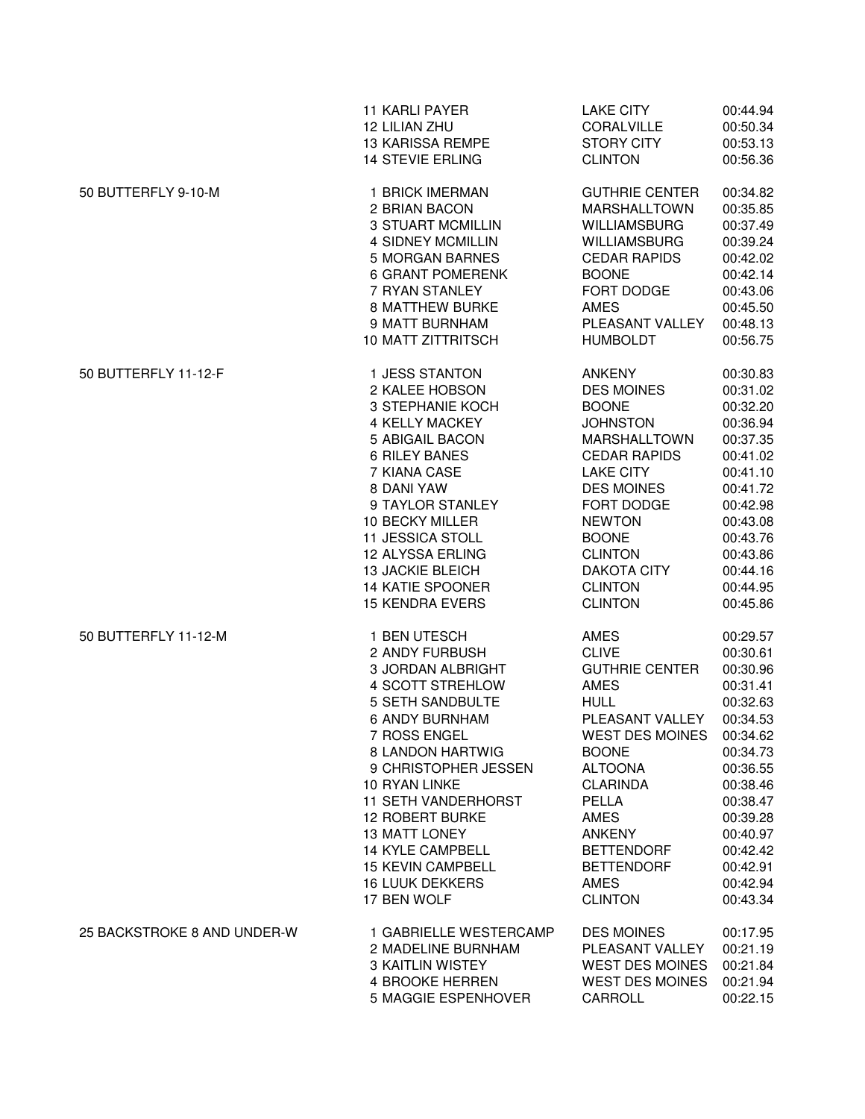|                             | <b>11 KARLI PAYER</b>                                                                                                                                                                                                                                                                                                                                                                    | <b>LAKE CITY</b>                                                                                                                                                                                                                                                               | 00:44.94                                                                                                                                                                                     |
|-----------------------------|------------------------------------------------------------------------------------------------------------------------------------------------------------------------------------------------------------------------------------------------------------------------------------------------------------------------------------------------------------------------------------------|--------------------------------------------------------------------------------------------------------------------------------------------------------------------------------------------------------------------------------------------------------------------------------|----------------------------------------------------------------------------------------------------------------------------------------------------------------------------------------------|
|                             | 12 LILIAN ZHU                                                                                                                                                                                                                                                                                                                                                                            | <b>CORALVILLE</b>                                                                                                                                                                                                                                                              | 00:50.34                                                                                                                                                                                     |
|                             | <b>13 KARISSA REMPE</b>                                                                                                                                                                                                                                                                                                                                                                  | <b>STORY CITY</b>                                                                                                                                                                                                                                                              | 00:53.13                                                                                                                                                                                     |
|                             | 14 STEVIE ERLING                                                                                                                                                                                                                                                                                                                                                                         | <b>CLINTON</b>                                                                                                                                                                                                                                                                 | 00:56.36                                                                                                                                                                                     |
| 50 BUTTERFLY 9-10-M         | 1 BRICK IMERMAN                                                                                                                                                                                                                                                                                                                                                                          | <b>GUTHRIE CENTER</b>                                                                                                                                                                                                                                                          | 00:34.82                                                                                                                                                                                     |
|                             | 2 BRIAN BACON                                                                                                                                                                                                                                                                                                                                                                            | <b>MARSHALLTOWN</b>                                                                                                                                                                                                                                                            | 00:35.85                                                                                                                                                                                     |
|                             | <b>3 STUART MCMILLIN</b>                                                                                                                                                                                                                                                                                                                                                                 | <b>WILLIAMSBURG</b>                                                                                                                                                                                                                                                            | 00:37.49                                                                                                                                                                                     |
|                             | <b>4 SIDNEY MCMILLIN</b>                                                                                                                                                                                                                                                                                                                                                                 | <b>WILLIAMSBURG</b>                                                                                                                                                                                                                                                            | 00:39.24                                                                                                                                                                                     |
|                             | 5 MORGAN BARNES                                                                                                                                                                                                                                                                                                                                                                          | <b>CEDAR RAPIDS</b>                                                                                                                                                                                                                                                            | 00:42.02                                                                                                                                                                                     |
|                             | <b>6 GRANT POMERENK</b>                                                                                                                                                                                                                                                                                                                                                                  | <b>BOONE</b>                                                                                                                                                                                                                                                                   | 00:42.14                                                                                                                                                                                     |
|                             | 7 RYAN STANLEY                                                                                                                                                                                                                                                                                                                                                                           | FORT DODGE                                                                                                                                                                                                                                                                     | 00:43.06                                                                                                                                                                                     |
|                             | <b>8 MATTHEW BURKE</b>                                                                                                                                                                                                                                                                                                                                                                   | <b>AMES</b>                                                                                                                                                                                                                                                                    | 00:45.50                                                                                                                                                                                     |
|                             | 9 MATT BURNHAM                                                                                                                                                                                                                                                                                                                                                                           | PLEASANT VALLEY                                                                                                                                                                                                                                                                | 00:48.13                                                                                                                                                                                     |
|                             | <b>10 MATT ZITTRITSCH</b>                                                                                                                                                                                                                                                                                                                                                                | <b>HUMBOLDT</b>                                                                                                                                                                                                                                                                | 00:56.75                                                                                                                                                                                     |
| 50 BUTTERFLY 11-12-F        | 1 JESS STANTON                                                                                                                                                                                                                                                                                                                                                                           | ANKENY                                                                                                                                                                                                                                                                         | 00:30.83                                                                                                                                                                                     |
|                             | 2 KALEE HOBSON                                                                                                                                                                                                                                                                                                                                                                           | <b>DES MOINES</b>                                                                                                                                                                                                                                                              | 00:31.02                                                                                                                                                                                     |
|                             | <b>3 STEPHANIE KOCH</b>                                                                                                                                                                                                                                                                                                                                                                  | <b>BOONE</b>                                                                                                                                                                                                                                                                   | 00:32.20                                                                                                                                                                                     |
|                             | <b>4 KELLY MACKEY</b>                                                                                                                                                                                                                                                                                                                                                                    | <b>JOHNSTON</b>                                                                                                                                                                                                                                                                | 00:36.94                                                                                                                                                                                     |
|                             | 5 ABIGAIL BACON                                                                                                                                                                                                                                                                                                                                                                          | <b>MARSHALLTOWN</b>                                                                                                                                                                                                                                                            | 00:37.35                                                                                                                                                                                     |
|                             | <b>6 RILEY BANES</b>                                                                                                                                                                                                                                                                                                                                                                     | <b>CEDAR RAPIDS</b>                                                                                                                                                                                                                                                            | 00:41.02                                                                                                                                                                                     |
|                             | 7 KIANA CASE                                                                                                                                                                                                                                                                                                                                                                             | <b>LAKE CITY</b>                                                                                                                                                                                                                                                               | 00:41.10                                                                                                                                                                                     |
|                             | 8 DANI YAW                                                                                                                                                                                                                                                                                                                                                                               | <b>DES MOINES</b>                                                                                                                                                                                                                                                              | 00:41.72                                                                                                                                                                                     |
|                             | 9 TAYLOR STANLEY                                                                                                                                                                                                                                                                                                                                                                         | FORT DODGE                                                                                                                                                                                                                                                                     | 00:42.98                                                                                                                                                                                     |
|                             | 10 BECKY MILLER                                                                                                                                                                                                                                                                                                                                                                          | <b>NEWTON</b>                                                                                                                                                                                                                                                                  | 00:43.08                                                                                                                                                                                     |
|                             | <b>11 JESSICA STOLL</b>                                                                                                                                                                                                                                                                                                                                                                  | <b>BOONE</b>                                                                                                                                                                                                                                                                   | 00:43.76                                                                                                                                                                                     |
|                             | 12 ALYSSA ERLING                                                                                                                                                                                                                                                                                                                                                                         | <b>CLINTON</b>                                                                                                                                                                                                                                                                 | 00:43.86                                                                                                                                                                                     |
|                             | <b>13 JACKIE BLEICH</b>                                                                                                                                                                                                                                                                                                                                                                  | <b>DAKOTA CITY</b>                                                                                                                                                                                                                                                             | 00:44.16                                                                                                                                                                                     |
|                             | 14 KATIE SPOONER                                                                                                                                                                                                                                                                                                                                                                         | <b>CLINTON</b>                                                                                                                                                                                                                                                                 | 00:44.95                                                                                                                                                                                     |
|                             | <b>15 KENDRA EVERS</b>                                                                                                                                                                                                                                                                                                                                                                   | <b>CLINTON</b>                                                                                                                                                                                                                                                                 | 00:45.86                                                                                                                                                                                     |
| 50 BUTTERFLY 11-12-M        | 1 BEN UTESCH<br>2 ANDY FURBUSH<br>3 JORDAN ALBRIGHT<br><b>4 SCOTT STREHLOW</b><br>5 SETH SANDBULTE<br><b>6 ANDY BURNHAM</b><br>7 ROSS ENGEL<br>8 LANDON HARTWIG<br>9 CHRISTOPHER JESSEN<br><b>10 RYAN LINKE</b><br><b>11 SETH VANDERHORST</b><br>12 ROBERT BURKE<br><b>13 MATT LONEY</b><br><b>14 KYLE CAMPBELL</b><br><b>15 KEVIN CAMPBELL</b><br><b>16 LUUK DEKKERS</b><br>17 BEN WOLF | AMES<br><b>CLIVE</b><br><b>GUTHRIE CENTER</b><br><b>AMES</b><br><b>HULL</b><br>PLEASANT VALLEY<br>WEST DES MOINES 00:34.62<br><b>BOONE</b><br><b>ALTOONA</b><br><b>CLARINDA</b><br>PELLA<br>AMES<br>ANKENY<br><b>BETTENDORF</b><br><b>BETTENDORF</b><br>AMES<br><b>CLINTON</b> | 00:29.57<br>00:30.61<br>00:30.96<br>00:31.41<br>00:32.63<br>00:34.53<br>00:34.73<br>00:36.55<br>00:38.46<br>00:38.47<br>00:39.28<br>00:40.97<br>00:42.42<br>00:42.91<br>00:42.94<br>00:43.34 |
| 25 BACKSTROKE 8 AND UNDER-W | 1 GABRIELLE WESTERCAMP                                                                                                                                                                                                                                                                                                                                                                   | <b>DES MOINES</b>                                                                                                                                                                                                                                                              | 00:17.95                                                                                                                                                                                     |
|                             | 2 MADELINE BURNHAM                                                                                                                                                                                                                                                                                                                                                                       | PLEASANT VALLEY                                                                                                                                                                                                                                                                | 00:21.19                                                                                                                                                                                     |
|                             | <b>3 KAITLIN WISTEY</b>                                                                                                                                                                                                                                                                                                                                                                  | <b>WEST DES MOINES</b>                                                                                                                                                                                                                                                         | 00:21.84                                                                                                                                                                                     |
|                             | 4 BROOKE HERREN                                                                                                                                                                                                                                                                                                                                                                          | <b>WEST DES MOINES</b>                                                                                                                                                                                                                                                         | 00:21.94                                                                                                                                                                                     |
|                             | 5 MAGGIE ESPENHOVER                                                                                                                                                                                                                                                                                                                                                                      | CARROLL                                                                                                                                                                                                                                                                        | 00:22.15                                                                                                                                                                                     |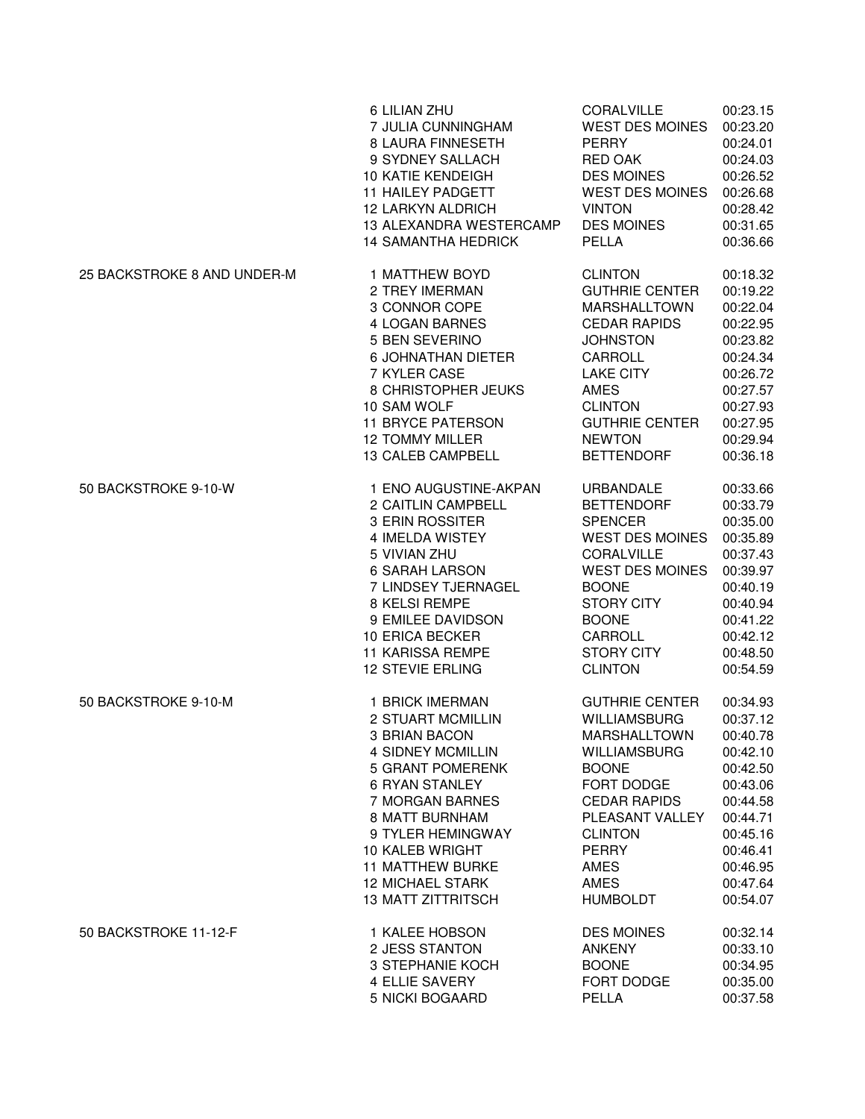|                             | 6 LILIAN ZHU               | CORALVILLE             | 00:23.15 |
|-----------------------------|----------------------------|------------------------|----------|
|                             | 7 JULIA CUNNINGHAM         | <b>WEST DES MOINES</b> | 00:23.20 |
|                             | 8 LAURA FINNESETH          | <b>PERRY</b>           | 00:24.01 |
|                             | 9 SYDNEY SALLACH           | RED OAK                | 00:24.03 |
|                             | 10 KATIE KENDEIGH          | <b>DES MOINES</b>      | 00:26.52 |
|                             | 11 HAILEY PADGETT          | <b>WEST DES MOINES</b> | 00:26.68 |
|                             | <b>12 LARKYN ALDRICH</b>   | <b>VINTON</b>          | 00:28.42 |
|                             | 13 ALEXANDRA WESTERCAMP    | <b>DES MOINES</b>      | 00:31.65 |
|                             | <b>14 SAMANTHA HEDRICK</b> | PELLA                  | 00:36.66 |
| 25 BACKSTROKE 8 AND UNDER-M | 1 MATTHEW BOYD             | <b>CLINTON</b>         | 00:18.32 |
|                             | 2 TREY IMERMAN             | <b>GUTHRIE CENTER</b>  | 00:19.22 |
|                             | 3 CONNOR COPE              | <b>MARSHALLTOWN</b>    | 00:22.04 |
|                             | 4 LOGAN BARNES             | <b>CEDAR RAPIDS</b>    | 00:22.95 |
|                             | 5 BEN SEVERINO             | <b>JOHNSTON</b>        | 00:23.82 |
|                             | <b>6 JOHNATHAN DIETER</b>  | CARROLL                | 00:24.34 |
|                             | 7 KYLER CASE               | <b>LAKE CITY</b>       | 00:26.72 |
|                             | 8 CHRISTOPHER JEUKS        | AMES                   | 00:27.57 |
|                             | 10 SAM WOLF                | <b>CLINTON</b>         | 00:27.93 |
|                             | <b>11 BRYCE PATERSON</b>   | <b>GUTHRIE CENTER</b>  | 00:27.95 |
|                             | <b>12 TOMMY MILLER</b>     | <b>NEWTON</b>          | 00:29.94 |
|                             | 13 CALEB CAMPBELL          | <b>BETTENDORF</b>      | 00:36.18 |
| 50 BACKSTROKE 9-10-W        | 1 ENO AUGUSTINE-AKPAN      | URBANDALE              | 00:33.66 |
|                             | 2 CAITLIN CAMPBELL         | <b>BETTENDORF</b>      | 00:33.79 |
|                             | 3 ERIN ROSSITER            | <b>SPENCER</b>         | 00:35.00 |
|                             | 4 IMELDA WISTEY            | <b>WEST DES MOINES</b> | 00:35.89 |
|                             | 5 VIVIAN ZHU               | <b>CORALVILLE</b>      | 00:37.43 |
|                             | <b>6 SARAH LARSON</b>      | <b>WEST DES MOINES</b> | 00:39.97 |
|                             | 7 LINDSEY TJERNAGEL        | <b>BOONE</b>           | 00:40.19 |
|                             | 8 KELSI REMPE              | <b>STORY CITY</b>      | 00:40.94 |
|                             | 9 EMILEE DAVIDSON          | <b>BOONE</b>           | 00:41.22 |
|                             | 10 ERICA BECKER            | CARROLL                | 00:42.12 |
|                             | <b>11 KARISSA REMPE</b>    | <b>STORY CITY</b>      | 00:48.50 |
|                             | <b>12 STEVIE ERLING</b>    | <b>CLINTON</b>         | 00:54.59 |
| 50 BACKSTROKE 9-10-M        | 1 BRICK IMERMAN            | <b>GUTHRIE CENTER</b>  | 00:34.93 |
|                             | 2 STUART MCMILLIN          | <b>WILLIAMSBURG</b>    | 00:37.12 |
|                             | 3 BRIAN BACON              | MARSHALLTOWN           | 00:40.78 |
|                             | 4 SIDNEY MCMILLIN          | <b>WILLIAMSBURG</b>    | 00:42.10 |
|                             | 5 GRANT POMERENK           | <b>BOONE</b>           | 00:42.50 |
|                             | <b>6 RYAN STANLEY</b>      | FORT DODGE             | 00:43.06 |
|                             | 7 MORGAN BARNES            | <b>CEDAR RAPIDS</b>    | 00:44.58 |
|                             | 8 MATT BURNHAM             | PLEASANT VALLEY        | 00:44.71 |
|                             | 9 TYLER HEMINGWAY          | <b>CLINTON</b>         | 00:45.16 |
|                             | 10 KALEB WRIGHT            | <b>PERRY</b>           | 00:46.41 |
|                             | <b>11 MATTHEW BURKE</b>    | <b>AMES</b>            | 00:46.95 |
|                             | <b>12 MICHAEL STARK</b>    | AMES                   | 00:47.64 |
|                             | <b>13 MATT ZITTRITSCH</b>  | <b>HUMBOLDT</b>        | 00:54.07 |
| 50 BACKSTROKE 11-12-F       | 1 KALEE HOBSON             | <b>DES MOINES</b>      | 00:32.14 |
|                             | 2 JESS STANTON             | <b>ANKENY</b>          | 00:33.10 |
|                             | 3 STEPHANIE KOCH           | <b>BOONE</b>           | 00:34.95 |
|                             | 4 ELLIE SAVERY             | FORT DODGE             | 00:35.00 |
|                             | 5 NICKI BOGAARD            | PELLA                  | 00:37.58 |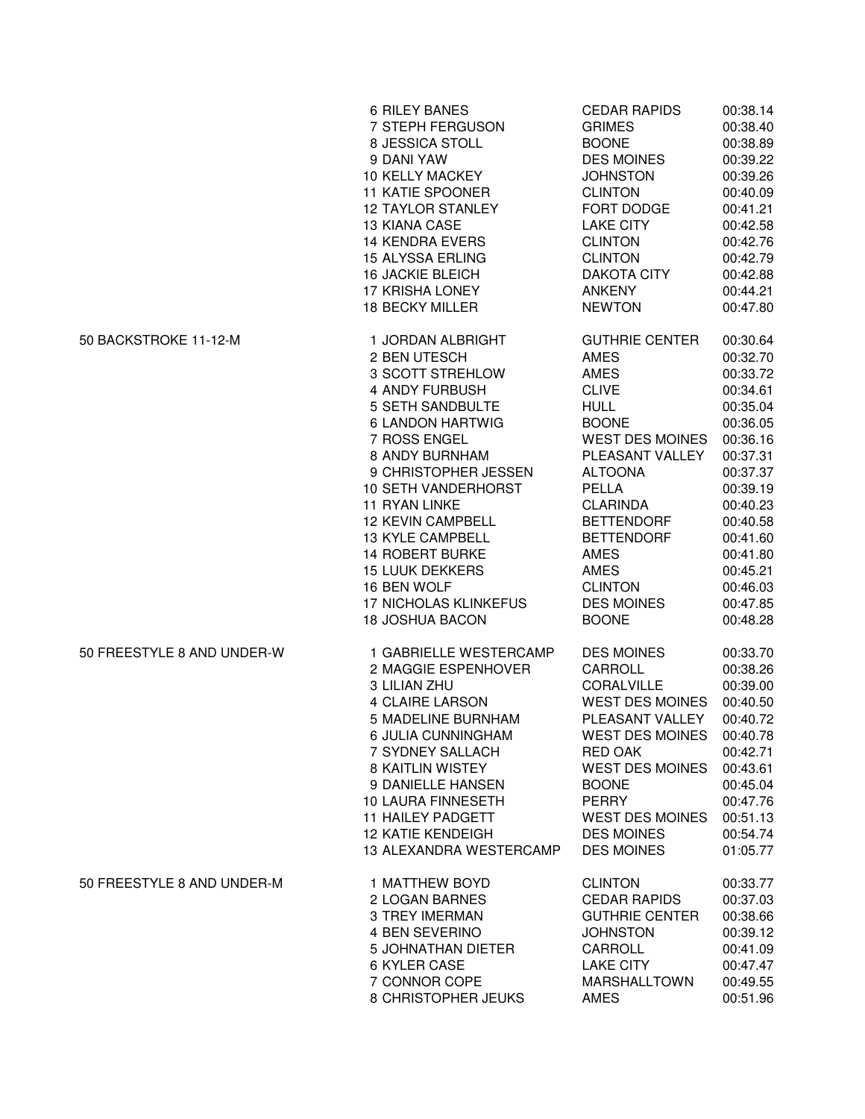|                            | <b>6 RILEY BANES</b>         | <b>CEDAR RAPIDS</b>    | 00:38.14 |
|----------------------------|------------------------------|------------------------|----------|
|                            | 7 STEPH FERGUSON             | <b>GRIMES</b>          | 00:38.40 |
|                            | 8 JESSICA STOLL              | <b>BOONE</b>           | 00:38.89 |
|                            | 9 DANI YAW                   | <b>DES MOINES</b>      | 00:39.22 |
|                            | <b>10 KELLY MACKEY</b>       | <b>JOHNSTON</b>        | 00:39.26 |
|                            | 11 KATIE SPOONER             | <b>CLINTON</b>         | 00:40.09 |
|                            | <b>12 TAYLOR STANLEY</b>     | FORT DODGE             | 00:41.21 |
|                            | <b>13 KIANA CASE</b>         | <b>LAKE CITY</b>       | 00:42.58 |
|                            | <b>14 KENDRA EVERS</b>       | <b>CLINTON</b>         | 00:42.76 |
|                            | <b>15 ALYSSA ERLING</b>      | <b>CLINTON</b>         | 00:42.79 |
|                            | <b>16 JACKIE BLEICH</b>      | <b>DAKOTA CITY</b>     | 00:42.88 |
|                            | 17 KRISHA LONEY              | <b>ANKENY</b>          | 00:44.21 |
|                            | 18 BECKY MILLER              | <b>NEWTON</b>          | 00:47.80 |
| 50 BACKSTROKE 11-12-M      | 1 JORDAN ALBRIGHT            | <b>GUTHRIE CENTER</b>  | 00:30.64 |
|                            | 2 BEN UTESCH                 | AMES                   | 00:32.70 |
|                            | 3 SCOTT STREHLOW             | AMES                   | 00:33.72 |
|                            | 4 ANDY FURBUSH               | <b>CLIVE</b>           | 00:34.61 |
|                            | <b>5 SETH SANDBULTE</b>      | <b>HULL</b>            | 00:35.04 |
|                            | 6 LANDON HARTWIG             | <b>BOONE</b>           | 00:36.05 |
|                            | 7 ROSS ENGEL                 | <b>WEST DES MOINES</b> | 00:36.16 |
|                            | 8 ANDY BURNHAM               | PLEASANT VALLEY        | 00:37.31 |
|                            | 9 CHRISTOPHER JESSEN         | <b>ALTOONA</b>         | 00:37.37 |
|                            | <b>10 SETH VANDERHORST</b>   | PELLA                  | 00:39.19 |
|                            | 11 RYAN LINKE                | <b>CLARINDA</b>        | 00:40.23 |
|                            | <b>12 KEVIN CAMPBELL</b>     | <b>BETTENDORF</b>      | 00:40.58 |
|                            | 13 KYLE CAMPBELL             | <b>BETTENDORF</b>      | 00:41.60 |
|                            | <b>14 ROBERT BURKE</b>       | <b>AMES</b>            | 00:41.80 |
|                            | <b>15 LUUK DEKKERS</b>       | AMES                   | 00:45.21 |
|                            | 16 BEN WOLF                  | <b>CLINTON</b>         | 00:46.03 |
|                            | <b>17 NICHOLAS KLINKEFUS</b> | <b>DES MOINES</b>      | 00:47.85 |
|                            | <b>18 JOSHUA BACON</b>       | <b>BOONE</b>           | 00:48.28 |
| 50 FREESTYLE 8 AND UNDER-W | 1 GABRIELLE WESTERCAMP       | <b>DES MOINES</b>      | 00:33.70 |
|                            | 2 MAGGIE ESPENHOVER          | CARROLL                | 00:38.26 |
|                            | 3 LILIAN ZHU                 | <b>CORALVILLE</b>      | 00:39.00 |
|                            | <b>4 CLAIRE LARSON</b>       | <b>WEST DES MOINES</b> | 00:40.50 |
|                            | 5 MADELINE BURNHAM           | PLEASANT VALLEY        | 00:40.72 |
|                            | 6 JULIA CUNNINGHAM           | WEST DES MOINES        | 00:40.78 |
|                            | 7 SYDNEY SALLACH             | RED OAK                | 00:42.71 |
|                            | 8 KAITLIN WISTEY             | <b>WEST DES MOINES</b> | 00:43.61 |
|                            | 9 DANIELLE HANSEN            | <b>BOONE</b>           | 00:45.04 |
|                            | 10 LAURA FINNESETH           | <b>PERRY</b>           | 00:47.76 |
|                            | <b>11 HAILEY PADGETT</b>     | <b>WEST DES MOINES</b> | 00:51.13 |
|                            | <b>12 KATIE KENDEIGH</b>     | <b>DES MOINES</b>      | 00:54.74 |
|                            | 13 ALEXANDRA WESTERCAMP      | <b>DES MOINES</b>      | 01:05.77 |
| 50 FREESTYLE 8 AND UNDER-M | <b>1 MATTHEW BOYD</b>        | <b>CLINTON</b>         | 00:33.77 |
|                            | 2 LOGAN BARNES               | <b>CEDAR RAPIDS</b>    | 00:37.03 |
|                            | <b>3 TREY IMERMAN</b>        | <b>GUTHRIE CENTER</b>  | 00:38.66 |
|                            | 4 BEN SEVERINO               | <b>JOHNSTON</b>        | 00:39.12 |
|                            | 5 JOHNATHAN DIETER           | CARROLL                | 00:41.09 |
|                            | 6 KYLER CASE                 | <b>LAKE CITY</b>       | 00:47.47 |
|                            | 7 CONNOR COPE                | <b>MARSHALLTOWN</b>    | 00:49.55 |
|                            | 8 CHRISTOPHER JEUKS          | <b>AMES</b>            | 00:51.96 |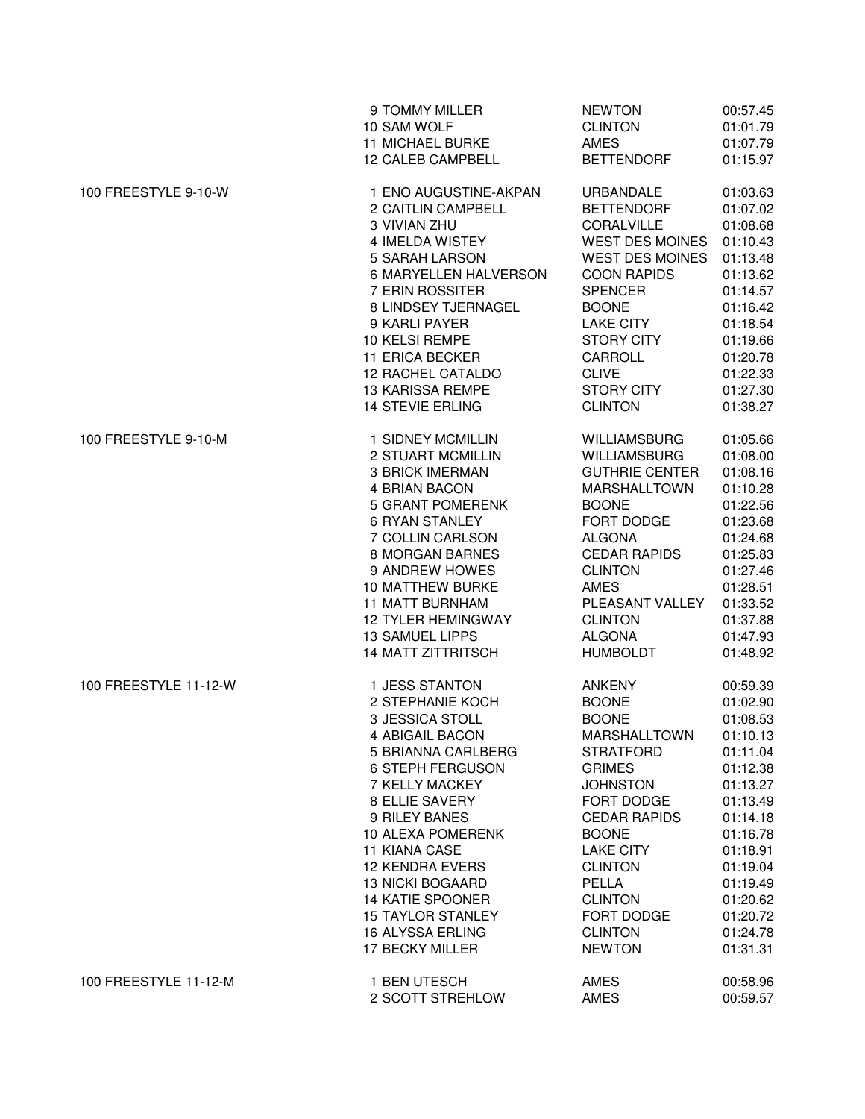|                       | 9 TOMMY MILLER            | <b>NEWTON</b>          | 00:57.45 |
|-----------------------|---------------------------|------------------------|----------|
|                       | 10 SAM WOLF               | <b>CLINTON</b>         | 01:01.79 |
|                       | <b>11 MICHAEL BURKE</b>   | <b>AMES</b>            | 01:07.79 |
|                       | 12 CALEB CAMPBELL         | <b>BETTENDORF</b>      | 01:15.97 |
| 100 FREESTYLE 9-10-W  | 1 ENO AUGUSTINE-AKPAN     | URBANDALE              | 01:03.63 |
|                       | 2 CAITLIN CAMPBELL        | <b>BETTENDORF</b>      | 01:07.02 |
|                       | 3 VIVIAN ZHU              | CORALVILLE             | 01:08.68 |
|                       | 4 IMELDA WISTEY           | <b>WEST DES MOINES</b> | 01:10.43 |
|                       | 5 SARAH LARSON            | <b>WEST DES MOINES</b> | 01:13.48 |
|                       | 6 MARYELLEN HALVERSON     | <b>COON RAPIDS</b>     | 01:13.62 |
|                       | 7 ERIN ROSSITER           | <b>SPENCER</b>         | 01:14.57 |
|                       | 8 LINDSEY TJERNAGEL       | <b>BOONE</b>           | 01:16.42 |
|                       | 9 KARLI PAYER             | <b>LAKE CITY</b>       | 01:18.54 |
|                       | 10 KELSI REMPE            | <b>STORY CITY</b>      | 01:19.66 |
|                       | 11 ERICA BECKER           | CARROLL                | 01:20.78 |
|                       | 12 RACHEL CATALDO         | <b>CLIVE</b>           | 01:22.33 |
|                       | <b>13 KARISSA REMPE</b>   | <b>STORY CITY</b>      | 01:27.30 |
|                       | <b>14 STEVIE ERLING</b>   | <b>CLINTON</b>         | 01:38.27 |
| 100 FREESTYLE 9-10-M  | 1 SIDNEY MCMILLIN         | <b>WILLIAMSBURG</b>    | 01:05.66 |
|                       | 2 STUART MCMILLIN         | <b>WILLIAMSBURG</b>    | 01:08.00 |
|                       | <b>3 BRICK IMERMAN</b>    | <b>GUTHRIE CENTER</b>  | 01:08.16 |
|                       | 4 BRIAN BACON             | <b>MARSHALLTOWN</b>    | 01:10.28 |
|                       | <b>5 GRANT POMERENK</b>   | <b>BOONE</b>           | 01:22.56 |
|                       | 6 RYAN STANLEY            | FORT DODGE             | 01:23.68 |
|                       | 7 COLLIN CARLSON          | <b>ALGONA</b>          | 01:24.68 |
|                       | 8 MORGAN BARNES           | <b>CEDAR RAPIDS</b>    | 01:25.83 |
|                       | 9 ANDREW HOWES            | <b>CLINTON</b>         | 01:27.46 |
|                       | <b>10 MATTHEW BURKE</b>   | <b>AMES</b>            | 01:28.51 |
|                       | <b>11 MATT BURNHAM</b>    | PLEASANT VALLEY        | 01:33.52 |
|                       | <b>12 TYLER HEMINGWAY</b> | <b>CLINTON</b>         | 01:37.88 |
|                       | <b>13 SAMUEL LIPPS</b>    | <b>ALGONA</b>          | 01:47.93 |
|                       | <b>14 MATT ZITTRITSCH</b> | <b>HUMBOLDT</b>        | 01:48.92 |
| 100 FREESTYLE 11-12-W | 1 JESS STANTON            | ANKENY                 | 00:59.39 |
|                       | 2 STEPHANIE KOCH          | <b>BOONE</b>           | 01:02.90 |
|                       | <b>3 JESSICA STOLL</b>    | <b>BOONE</b>           | 01:08.53 |
|                       | 4 ABIGAIL BACON           | MARSHALLTOWN           | 01:10.13 |
|                       | 5 BRIANNA CARLBERG        | <b>STRATFORD</b>       | 01:11.04 |
|                       | <b>6 STEPH FERGUSON</b>   | <b>GRIMES</b>          | 01:12.38 |
|                       | 7 KELLY MACKEY            | <b>JOHNSTON</b>        | 01:13.27 |
|                       | 8 ELLIE SAVERY            | FORT DODGE             | 01:13.49 |
|                       | 9 RILEY BANES             | <b>CEDAR RAPIDS</b>    | 01:14.18 |
|                       | 10 ALEXA POMERENK         | <b>BOONE</b>           | 01:16.78 |
|                       | <b>11 KIANA CASE</b>      | <b>LAKE CITY</b>       | 01:18.91 |
|                       | 12 KENDRA EVERS           | <b>CLINTON</b>         | 01:19.04 |
|                       | <b>13 NICKI BOGAARD</b>   | PELLA                  | 01:19.49 |
|                       | <b>14 KATIE SPOONER</b>   | <b>CLINTON</b>         | 01:20.62 |
|                       | <b>15 TAYLOR STANLEY</b>  | FORT DODGE             | 01:20.72 |
|                       | 16 ALYSSA ERLING          | <b>CLINTON</b>         | 01:24.78 |
|                       | 17 BECKY MILLER           | <b>NEWTON</b>          | 01:31.31 |
| 100 FREESTYLE 11-12-M | 1 BEN UTESCH              | AMES                   | 00:58.96 |
|                       | 2 SCOTT STREHLOW          | AMES                   | 00:59.57 |